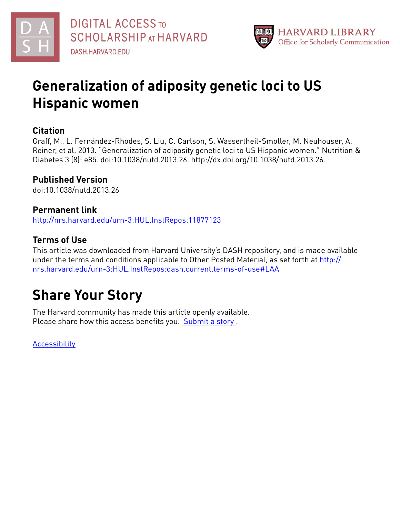

# **Generalization of adiposity genetic loci to US Hispanic women**

# **Citation**

Graff, M., L. Fernández-Rhodes, S. Liu, C. Carlson, S. Wassertheil-Smoller, M. Neuhouser, A. Reiner, et al. 2013. "Generalization of adiposity genetic loci to US Hispanic women." Nutrition & Diabetes 3 (8): e85. doi:10.1038/nutd.2013.26. http://dx.doi.org/10.1038/nutd.2013.26.

# **Published Version**

doi:10.1038/nutd.2013.26

# **Permanent link**

<http://nrs.harvard.edu/urn-3:HUL.InstRepos:11877123>

# **Terms of Use**

This article was downloaded from Harvard University's DASH repository, and is made available under the terms and conditions applicable to Other Posted Material, as set forth at [http://](http://nrs.harvard.edu/urn-3:HUL.InstRepos:dash.current.terms-of-use#LAA) [nrs.harvard.edu/urn-3:HUL.InstRepos:dash.current.terms-of-use#LAA](http://nrs.harvard.edu/urn-3:HUL.InstRepos:dash.current.terms-of-use#LAA)

# **Share Your Story**

The Harvard community has made this article openly available. Please share how this access benefits you. [Submit](http://osc.hul.harvard.edu/dash/open-access-feedback?handle=&title=Generalization%20of%20adiposity%20genetic%20loci%20to%20US%20Hispanic%20women&community=1/4454685&collection=1/4454686&owningCollection1/4454686&harvardAuthors=02f767b9840c15c3c1a924f1ec582da4&department) a story .

**[Accessibility](https://dash.harvard.edu/pages/accessibility)**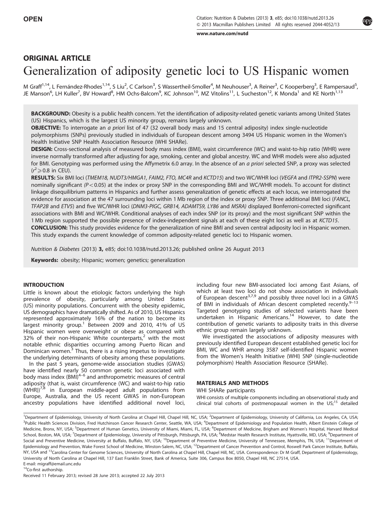[www.nature.com/nutd](http://www.nature.com/nutd)

# ORIGINAL ARTICLE Generalization of adiposity genetic loci to US Hispanic women

M Graff<sup>1,14</sup>, L Fernández-Rhodes<sup>1,14</sup>, S Liu<sup>2</sup>, C Carlson<sup>3</sup>, S Wassertheil-Smoller<sup>4</sup>, M Neuhouser<sup>3</sup>, A Reiner<sup>3</sup>, C Kooperberg<sup>3</sup>, E Rampersaud<sup>5</sup>, JE Manson<sup>6</sup>, LH Kuller<sup>7</sup>, BV Howard<sup>8</sup>, HM Ochs-Balcom<sup>9</sup>, KC Johnson<sup>10</sup>, MZ Vitolins<sup>11</sup>, L Sucheston<sup>12</sup>, K Monda<sup>1</sup> and KE North<sup>1,13</sup>

BACKGROUND: Obesity is a public health concern. Yet the identification of adiposity-related genetic variants among United States (US) Hispanics, which is the largest US minority group, remains largely unknown.

OBJECTIVE: To interrogate an a priori list of 47 (32 overall body mass and 15 central adiposity) index single-nucleotide

polymorphisms (SNPs) previously studied in individuals of European descent among 3494 US Hispanic women in the Women's Health Initiative SNP Health Association Resource (WHI SHARe).

DESIGN: Cross-sectional analysis of measured body mass index (BMI), waist circumference (WC) and waist-to-hip ratio (WHR) were inverse normally transformed after adjusting for age, smoking, center and global ancestry. WC and WHR models were also adjusted for BMI. Genotyping was performed using the Affymetrix 6.0 array. In the absence of an a priori selected SNP, a proxy was selected  $(r^2) \ge 0.8$  in CEU).

RESULTS: Six BMI loci (TMEM18, NUDT3/HMGA1, FAIM2, FTO, MC4R and KCTD15) and two WC/WHR loci (VEGFA and ITPR2-SSPN) were nominally significant ( $P < 0.05$ ) at the index or proxy SNP in the corresponding BMI and WC/WHR models. To account for distinct linkage disequilibrium patterns in Hispanics and further assess generalization of genetic effects at each locus, we interrogated the evidence for association at the 47 surrounding loci within 1 Mb region of the index or proxy SNP. Three additional BMI loci (FANCL, TFAP2B and ETV5) and five WC/WHR loci (DNM3-PIGC, GRB14, ADAMTS9, LY86 and MSRA) displayed Bonferroni-corrected significant associations with BMI and WC/WHR. Conditional analyses of each index SNP (or its proxy) and the most significant SNP within the 1 Mb region supported the possible presence of index-independent signals at each of these eight loci as well as at KCTD15. CONCLUSION: This study provides evidence for the generalization of nine BMI and seven central adiposity loci in Hispanic women. This study expands the current knowledge of common adiposity-related genetic loci to Hispanic women.

Nutrition & Diabetes (2013) 3, e85; doi:[10.1038/nutd.2013.26;](http://dx.doi.org/10.1038/nutd.2013.26) published online 26 August 2013

Keywords: obesity; Hispanic; women; genetics; generalization

### INTRODUCTION

Little is known about the etiologic factors underlying the high prevalence of obesity, particularly among United States (US) minority populations. Concurrent with the obesity epidemic, US demographics have dramatically shifted. As of 2010, US Hispanics represented approximately 16% of the nation to become its largest minority group.<sup>[1](#page-9-0)</sup> Between 2009 and 2010, 41% of US Hispanic women were overweight or obese as compared with 3[2](#page-9-0)% of their non-Hispanic White counterparts, $2$  with the most notable ethnic disparities occurring among Puerto Rican and Dominican women.<sup>[3](#page-9-0)</sup> Thus, there is a rising impetus to investigate the underlying determinants of obesity among these populations.

In the past 5 years, genome-wide association studies (GWAS) have identified nearly 50 common genetic loci associated with body mass index  $(BMI)^{4-6}$  and anthropometric measures of central adiposity (that is, waist circumference (WC) and waist-to-hip ratio  $(WHR)$ <sup>[7,8](#page-9-0)</sup> in European middle-aged adult populations from Europe, Australia, and the US recent GWAS in non-European ancestry populations have identified additional novel loci, including four new BMI-associated loci among East Asians, of which at least two loci do not show association in individuals of European descent<sup>[3,7,9](#page-9-0)</sup> and possibly three novel loci in a GWAS of BMI in individuals of African descent completed recently.<sup>9-13</sup> Targeted genotyping studies of selected variants have been undertaken in Hispanic Americans.<sup>[14](#page-10-0)</sup> However, to date the contribution of genetic variants to adiposity traits in this diverse ethnic group remain largely unknown.

We investigated the associations of adiposity measures with previously identified European descent established genetic loci for BMI, WC and WHR among 3587 self-identified Hispanic women from the Women's Health Initiative (WHI) SNP (single-nucleotide polymorphism) Health Association Resource (SHARe).

#### MATERIALS AND METHODS

#### WHI SHARe participants

WHI consists of multiple components including an observational study and clinical trial cohorts of postmenopausal women in the  $US<sub>i</sub><sup>15</sup>$  $US<sub>i</sub><sup>15</sup>$  $US<sub>i</sub><sup>15</sup>$  detailed

<sup>14</sup>Co-first authorship.



<sup>&</sup>lt;sup>1</sup>Department of Epidemiology, University of North Carolina at Chapel Hill, Chapel Hill, NC, USA; <sup>2</sup>Department of Epidemiology, University of California, Los Angeles, CA, USA; <sup>3</sup>Public Health Sciences Division, Fred Hutchinson Cancer Research Center, Seattle, WA, USA; <sup>4</sup>Department of Epidemiology and Population Health, Albert Einstein College of Medicine, Bronx, NY, USA; <sup>5</sup>Department of Human Genetics, University of Miami, Miami, FL, USA; <sup>6</sup>Department of Medicine, Brigham and Women's Hospital, Harvard Medical School, Boston, MA, USA; <sup>7</sup>Department of Epidemiology, University of Pittsburgh, Pittsburgh, PA, USA; <sup>8</sup>Medstar Health Research Institute, Hyattsville, MD, USA; <sup>9</sup>Department of Social and Preventive Medicine, University at Buffalo, Buffalo, NY, USA; <sup>10</sup>Department of Preventive Medicine, University of Tennessee, Memphis, TN, USA; <sup>11</sup>Department of Epidemiology and Prevention, Wake Forest School of Medicine, Winston-Salem, NC, USA; <sup>12</sup>Department of Cancer Prevention and Control, Roswell Park Cancer Institute, Buffalo, NY, USA and <sup>13</sup>Carolina Center for Genome Sciences, University of North Carolina at Chapel Hill, Chapel Hill, NC, USA. Correspondence: Dr M Graff, Department of Epidemiology, University of North Carolina at Chapel Hill, 137 East Franklin Street, Bank of America, Suite 306, Campus Box 8050, Chapel Hill, NC 27514, USA. E-mail: [migraff@email.unc.edu](mailto:migraff@email.unc.edu)

Received 11 February 2013; revised 28 June 2013; accepted 22 July 2013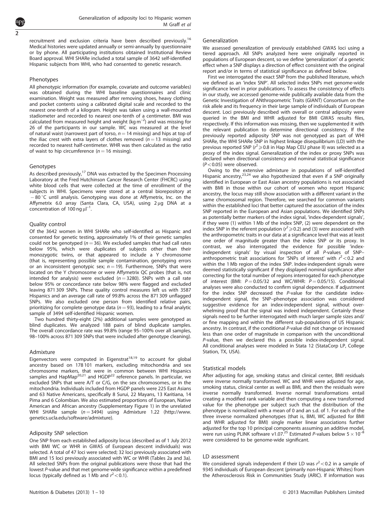recruitment and exclusion criteria have been described previously.<sup>16</sup> Medical histories were updated annually or semi-annually by questionnaire or by phone. All participating institutions obtained Institutional Review Board approval. WHI SHARe included a total sample of 3642 self-identified Hispanic subjects from WHI, who had consented to genetic research.

#### Phenotypes

All phenotypic information (for example, covariate and outcome variables) was obtained during the WHI baseline questionnaires and clinic examination. Weight was measured after removing shoes, heavy clothing and pocket contents using a calibrated digital scale and recorded to the nearest one-tenth of a kilogram. Height was taken using a wall-mounted stadiometer and recorded to nearest one-tenth of a centimeter. BMI was calculated from measured height and weight (kg  $m^{-2}$ ) and was missing for 26 of the participants in our sample. WC was measured at the level of natural waist (narrowest part of torso,  $n = 14$  missing) and hips at top of the iliac crest with extra layers of clothes removed ( $n = 13$  missing) and recorded to nearest half-centimeter. WHR was then calculated as the ratio of waist to hip circumference ( $n = 16$  missing).

#### Genotypes

As described previously, $17$  DNA was extracted by the Specimen Processing Laboratory at the Fred Hutchinson Cancer Research Center (FHCRC) using white blood cells that were collected at the time of enrollment of the subjects in WHI. Specimens were stored at a central biorepository at  $-80\degree$ C until analysis. Genotyping was done at Affymetrix, Inc. on the Affymetrix 6.0 array (Santa Clara, CA, USA), using 2 µg DNA at a concentration of  $100$  ng  $\mu$ l<sup>-1</sup>.

#### Quality control

Of the 3642 women in WHI SHARe who self-identified as Hispanic and consented for genetic testing, approximately 1% of their genetic samples could not be genotyped ( $n = 36$ ). We excluded samples that had call rates below 95%, which were duplicates of subjects other than their monozygotic twins, or that appeared to include a Y chromosome (that is, representing possible sample contamination, genotyping errors or an inconsistent genotypic sex;  $n = 19$ ). Furthermore, SNPs that were located on the Y chromosome or were Affymetrix QC probes (that is, not intended for analysis) were excluded ( $n = 3280$ ). SNPs with a call rate below 95% or concordance rate below 98% were flagged and excluded leaving 871 309 SNPs. These quality control measures left us with 3587 Hispanics and an average call rate of 99.8% across the 871 309 unflagged SNPs. We also excluded one person from identified relative pairs, prioritizing for complete genotype data ( $n = 93$ ), leading to a final analytic sample of 3494 self-identified Hispanic women.

Two hundred thirty-eight (2%) additional samples were genotyped as blind duplicates. We analyzed 188 pairs of blind duplicate samples. The overall concordance rate was 99.8% (range 95–100% over all samples, 98–100% across 871 309 SNPs that were included after genotype cleaning).

#### **Admixture**

Eigenvectors were computed in Eigenstrat<sup>18,19</sup> to account for global ancestry based on 178 101 markers, excluding mitochondria and sex chromosome markers, that were in common between WHI Hispanics<br>samples and HapMap<sup>[20,21](#page-10-0)</sup> and HGDP<sup>22</sup> reference panels. In particular, we excluded SNPs that were A/T or C/G, on the sex chromosomes, or in the mitochondria. Individuals included from HGDP panels were 225 East Asians and 63 Native Americans, specifically 8 Surui, 22 Mayans, 13 Karitiana, 14 Pima and 6 Colombian. We also estimated proportions of European, Native American and African ancestry (Supplementary Figure 1) in the unrelated WHI SHARe sample  $(n = 3494)$  using Admixture 1.22 ([http://www.](http://www.genetics.ucla.edu/software/admixture) [genetics.ucla.edu/software/admixture](http://www.genetics.ucla.edu/software/admixture)).

#### Adiposity SNP selection

One SNP from each established adiposity locus (described as of 1 July 2012 with BMI WC or WHR in GWAS of European descent individuals) was selected. A total of 47 loci were selected; 32 loci previously associated with BMI and 15 loci previously associated with WC or WHR [\(Tables 2a and 3a\)](#page-4-0). All selected SNPs from the original publications were those that had the lowest P-value and that met genome-wide significance within a predefined locus (typically defined as 1 Mb and  $r^2$  < 0.1).

#### Generalization

We assessed generalization of previously established GWAS loci using a tiered approach. All SNPs analyzed here were originally reported in populations of European descent, so we define 'generalization' of a genetic effect when a SNP displays a direction of effect consistent with the original report and/or in terms of statistical significance as defined below.

First we interrogated the exact SNP from the published literature, which we defined as an 'index SNP'. All selected index SNPs met genome-wide significance level in prior publications. To assess the consistency of effects in our study, we accessed genome-wide publically available data from the Genetic Investigation of ANthropometric Traits (GIANT) Consortium on the risk allele and its frequency in their large sample of individuals of European descent. Loci previously described with overall or central adiposity were queried in the BMI and WHR adjusted for BMI GWAS results files, respectively. If this information was missing, then we supplemented it with the relevant publication to determine directional consistency. If the previously reported adiposity SNP was not genotyped as part of WHI SHARe, the WHI SHARe SNP in highest linkage disequilibrium (LD) with the previous reported SNP ( $r^2 \ge 0.8$  in Hap Map CEU phase II) was selected as a proxy of the index signal. Generalization of the index or proxy SNPs was declared when directional consistency and nominal statistical significance  $(P<0.05)$  were observed.

Owing to the extensive admixture in populations of self-identified Hispanic ancestry,[23,24](#page-10-0) we also hypothesized that even if a SNP originally identified in European or East Asian ancestry populations is not associated with BMI in those within our cohort of women who report Hispanic ancestry, the locus may still show association with a different variant in the same chromosomal region. Therefore, we searched for common variants within the established loci that better captured the association of the index SNP reported in the European and Asian populations. We identified SNPs as potentially better markers of the index signal, 'index-dependent signals', if they were (1) within 1 Mb of the index SNP, (2) were dependent on the index SNP in the referent population ( $r^2 \ge 0.2$ ) and (3) were associated with the anthropometric traits in our data at a significance level that was at least one order of magnitude greater than the index SNP or its proxy. In contrast, we also interrogated the evidence for possible 'indexindependent signals' by visual inspection of all P-values of SNP– anthropometric trait associations for 'SNPs of interest' with  $r^2$  < 0.2 and within the 1 Mb region of the index SNP. Index-independent signals were deemed statistically significant if they displayed nominal significance after correcting for the total number of regions interrogated for each phenotype of interest (BMI:  $P = 0.05/32$  and WC/WHR:  $P = 0.05/15$ ). Conditional analyses were also conducted to confirm signal dependence. If adjustment for the index SNP decreased the P-value for the candidate indexindependent signal, the SNP–phenotype association was considered suggestive evidence for an index-independent signal, without overwhelming proof that the signal was indeed independent. Certainly these signals need to be further interrogated with much larger sample sizes and/ or fine mapping and within the different sub-populations of US Hispanic ancestry. In contrast, if the conditional P-value did not change or increased less than one order of magnitude in comparison with the unconditional P-value, then we declared this a possible index-independent signal. All conditional analyses were modeled in Stata 12 (StataCorp LP, College Station, TX, USA).

#### Statistical models

After adjusting for age, smoking status and clinical center, BMI residuals were inverse normally transformed. WC and WHR were adjusted for age, smoking status, clinical center as well as BMI, and then the residuals were inverse normally transformed. Inverse normal transformations entail creating a modified rank variable and then computing a new transformed value for the phenotype per subject such that the distribution of the phenotype is normalized with a mean of 0 and an s.d. of 1. For each of the three inverse normalized phenotypes (that is, BMI, WC adjusted for BMI and WHR adjusted for BMI) single marker linear associations further adjusted for the top 10 principal components assuming an additive model,<br>were run using PLINK software v1.07.<sup>25</sup> Estimated *P*-values below 5  $\times$  10<sup>-8</sup> were considered to be genome-wide significant.

#### LD assessment

We considered signals independent if their LD was  $r^2$  < 0.2 in a sample of 9345 individuals of European descent (primarily non-Hispanic Whites) from the Atherosclerosis Risk in Communities Study (ARIC). If information was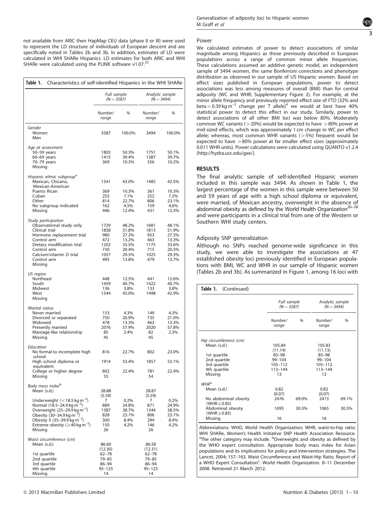not available from ARIC then HapMap CEU data (phase II or III) were used to represent the LD structure of individuals of European descent and are specifically noted in [Tables 2b and 3b.](#page-5-0) In addition, estimates of LD were calculated in WHI SHARe Hispanics. LD estimates for both ARIC and WHI SHARe were calculated using the PLINK software v1.07.<sup>25</sup>

| Table 1.<br>Characteristics of self-identified Hispanics in the WHI SHARe                  |                             |                |                                 |                |
|--------------------------------------------------------------------------------------------|-----------------------------|----------------|---------------------------------|----------------|
|                                                                                            | Full sample<br>$(N = 3587)$ |                | Analytic sample<br>$(N = 3494)$ |                |
|                                                                                            | Number/<br>range            | %              | Number/<br>range                | %              |
| Gender                                                                                     |                             |                |                                 |                |
| Women<br>Men                                                                               | 3587                        | 100.0%         | 3494                            | 100.0%         |
| Age at assessment                                                                          |                             |                |                                 |                |
| 50-59 years                                                                                | 1803<br>1415                | 50.3%<br>39.4% | 1751<br>1387                    | 50.1%<br>39.7% |
| 60-69 years<br>70-79 years                                                                 | 369                         | 10.3%          | 356                             | 10.2%          |
| Missing                                                                                    |                             |                |                                 |                |
| Hispanic ethnic subgroup <sup>a</sup>                                                      |                             |                |                                 |                |
| Mexican, Chicano,                                                                          | 1541                        | 43.0%          | 1485                            | 42.5%          |
| Mexican-American                                                                           |                             |                |                                 |                |
| Puerto Rican<br>Cuban                                                                      | 369<br>255                  | 10.3%<br>7.1%  | 361<br>252                      | 10.3%<br>7.2%  |
| Other                                                                                      | 814                         | 22.7%          | 806                             | 23.1%          |
| No subgroup indicated                                                                      | 162                         | 4.5%           | 159                             | 4.6%           |
| Missing                                                                                    | 446                         | 12.4%          | 431                             | 12.3%          |
| Study participation                                                                        |                             |                |                                 |                |
| Observational study only                                                                   | 1729                        | 48.2%          | 1681                            | 48.1%          |
| Clinical trial                                                                             | 1858                        | 51.8%          | 1813                            | 51.9%          |
| Hormone replacement trial                                                                  | 980                         | 27.3%          | 953                             | 27.3%          |
| Control arm<br>Dietary modification trial                                                  | 472<br>1202                 | 13.2%<br>33.5% | 463<br>1175                     | 13.3%<br>33.6% |
| Control arm                                                                                | 730                         | 20.4%          | 715                             | 20.5%          |
| Calcium/vitamin D trial                                                                    | 1057                        | 29.5%          | 1025                            | 29.3%          |
| Control arm<br>Missing                                                                     | 495                         | 13.8%          | 479                             | 13.7%          |
| US region                                                                                  |                             |                |                                 |                |
| Northeast                                                                                  | 448                         | 12.5%          | 441                             | 12.6%          |
| South                                                                                      | 1459                        | 40.7%          | 1422                            | 40.7%          |
| Midwest<br>West                                                                            | 136<br>1544                 | 3.8%<br>43.0%  | 133<br>1498                     | 3.8%<br>42.9%  |
| Missing                                                                                    |                             |                |                                 |                |
| Marital status                                                                             |                             |                |                                 |                |
| Never married                                                                              | 153                         | 4.3%           | 149                             | 4.3%           |
| Divorced or separated                                                                      | 750                         | 20.9%          | 735                             | 21.0%          |
| Widowed                                                                                    | 478                         | 13.3%          | 463                             | 13.3%          |
| Presently married                                                                          | 2076                        | 57.9%<br>2.4%  | 2020                            | 57.8%<br>2.3%  |
| Marriage-like relationship<br>Missing                                                      | 85<br>45                    |                | 82<br>45                        |                |
| Education                                                                                  |                             |                |                                 |                |
| No formal to incomplete high<br>school                                                     | 816                         | 22.7%          | 802                             | 23.0%          |
| High school diploma or<br>equivalent                                                       | 1914                        | 53.4%          | 1857                            | 53.1%          |
| College or higher degree<br>Missing                                                        | 802<br>55                   | 22.4%          | 781<br>54                       | 22.4%          |
| Body mass index <sup>b</sup>                                                               |                             |                |                                 |                |
| Mean (s.d.)                                                                                | 28.88                       |                | 28.87                           |                |
|                                                                                            | (5.59)                      |                | (5.59)                          |                |
| Underweight $\left($ < 18.5 kg m <sup>-2</sup> )<br>Normal $(18.5-24.9 \text{ kg m}^{-2})$ | 7<br>889                    | 0.2%<br>24.8%  | 7<br>871                        | 0.2%<br>24.9%  |
| Overweight $(25-29.9 \text{ kg m}^{-2})$                                                   | 1387                        | 38.7%          | 1344                            | 38.5%          |
| Obesity $(30-34.9 \text{ kg m}^{-2})$                                                      | 828                         | 23.1%          | 806                             | 23.1%          |
| Obesity II (35–39.9 kg m <sup>-2</sup> )                                                   | 300                         | 8.4%           | 294                             | 8.4%           |
| Extreme obesity ( $\geqslant$ 40 kg m <sup>-2</sup> )<br>Missing                           | 150<br>26                   | 4.2%           | 146<br>26                       | 4.2%           |
| Waist circumference (cm)                                                                   |                             |                |                                 |                |
| Mean (s.d.)                                                                                | 86.60                       |                | 86.58                           |                |
|                                                                                            | (12.30)                     |                | (12.31)                         |                |
| 1st quartile                                                                               | 62-78                       |                | 62-78                           |                |
| 2nd quartile                                                                               | 79-85                       |                | 79-85                           |                |
| 3rd quartile<br>4th quartile                                                               | 86-94<br>$95 - 125$         |                | 86-94<br>$95 - 125$             |                |
| Missing                                                                                    | 14                          |                | 14                              |                |

#### Power

We calculated estimates of power to detect associations of similar magnitude among Hispanics as those previously described in European populations across a range of common minor allele frequencies. These calculations assumed an additive genetic model, an independent sample of 3494 women, the same Bonferroni corrections and phenotype distribution as observed in our sample of US Hispanic women. Based on effect sizes published in European populations, power to detect associations was less among measures of overall (BMI) than for central adiposity (WC and WHR; Supplementary Figure 2). For example, at the minor allele frequency and previously reported effect size of FTO (32% and beta =  $0.39 \text{ kg m}^{-2}$  change per T allele)<sup>4</sup> we would at best have 40% statistical power to detect this effect in our study. Similarly, power to detect associations of all other BMI loci was below 80%. Moderately common WC variants ( $>$  20%) would be expected to have  $>$  80% power at mid-sized effects, which was approximately 1 cm change in WC per effect allele; whereas, most common WHR variants  $(>5%)$  frequent would be expected to have  $>80\%$  power at far smaller effect sizes (approximately 0.011 WHR units). Power calculations were calculated using QUANTO v1.2.4 [\(http://hydra.usc.edu/gxe/](http://hydra.usc.edu/gxe/)).

### RESULTS

The final analytic sample of self-identified Hispanic women included in this sample was 3494. As shown in Table 1, the largest percentage of the women in this sample were between 50 and 59 years of age with a high school diploma or equivalent, were married, of Mexican ancestry, overweight in the absence of abdominal obesity as defined by the World Health Organization<sup>26-28</sup> and were participants in a clinical trial from one of the Western or Southern WHI study centers.

#### Adiposity SNP generalization

Although no SNPs reached genome-wide significance in this study, we were able to investigate the associations at 47 established obesity loci previously identified in European populations with BMI, WC and WHR in our sample of Hispanic women [\(Tables 2b](#page-5-0) and [3b\)](#page-7-0). As summarized in [Figure 1](#page-8-0), among 16 loci with

| Table 1. (Continued)                           |                             |       |                                 |       |
|------------------------------------------------|-----------------------------|-------|---------------------------------|-------|
|                                                | Full sample<br>$(N = 3587)$ |       | Analytic sample<br>$(N = 3494)$ |       |
|                                                | Number/<br>range            | %     | Number/<br>range                | %     |
| Hip circumference (cm)                         |                             |       |                                 |       |
| Mean (s.d.)                                    | 105.84                      |       | 105.83                          |       |
|                                                | (11.14)                     |       | (11.13)                         |       |
| 1st quartile                                   | $85 - 98$                   |       | $85 - 98$                       |       |
| 2nd quartile                                   | $99 - 104$                  |       | 99-104                          |       |
| 3rd quartile                                   | $105 - 112$                 |       | $105 - 112$                     |       |
| 4th quartile                                   | 113-144                     |       | 113-144                         |       |
| Missing                                        | 13                          |       | 13                              |       |
| $WHR^a$                                        |                             |       |                                 |       |
| Mean (s.d.)                                    | 0.82                        |       | 0.82                            |       |
|                                                | (0.07)                      |       | (0.07)                          |       |
| No abdominal obesity<br>(WHR $\leqslant$ 0.85) | 2476                        | 69.0% | 2413                            | 69.1% |
| Abdominal obesity<br>(WHR $\geqslant$ 0.85)    | 1095                        | 30.5% | 1065                            | 30.5% |
| Missing                                        | 16                          |       | 16                              |       |

Abbreviations: WHO, World Health Organization; WHR, waist-to-hip ratio; WHI SHARe, Women's Health Initiative SNP Health Association Resource. <sup>a</sup>The other category may include. <sup>b</sup>Overweight and obesity as defined by the WHO expert consultation. Appropriate body mass index for Asian populations and its implications for policy and intervention strategies. The Lancet, 2004; 157–163. Waist Circumference and Waist-Hip Ratio, Report of a WHO Expert Consultation". World Health Organization. 8–11 December 2008. Retrieved 21 March 2012.

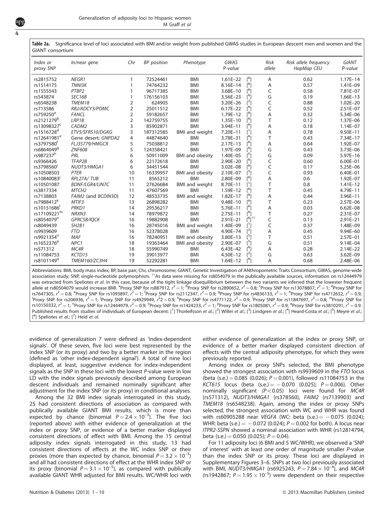| Index or<br>proxy SNP   | In/near gene                   | Chr            | <b>BP</b> position | Phenotype              | <b>GWAS</b><br>P-value |                          | <b>Risk</b><br>allele | Risk allele frequency<br>HapMap CEU | <b>GIANT</b><br>P-value |
|-------------------------|--------------------------------|----------------|--------------------|------------------------|------------------------|--------------------------|-----------------------|-------------------------------------|-------------------------|
| rs2815752               | NEGR1                          | 1              | 72524461           | <b>BMI</b>             | $1.61E - 22$           | $\lceil^6 \rceil$        | A                     | 0.62                                | $1.17E - 14$            |
| rs1514175               | TNNI3K                         | 1              | 74764232           | <b>BMI</b>             | 8.16E-14               | $[^6]$                   | Α                     | 0.57                                | 1.41E-09                |
| rs1555543               | PTBP2                          |                | 96717385           | <b>BMI</b>             | 3.68E-10               | $[^6]$                   | C                     | 0.58                                | 7.81E-07                |
| rs543874                | SEC16B                         |                | 176156103          | <b>BMI</b>             | 3.56E-23               | $\lceil^6 \rceil$        | G                     | 0.19                                | $1.66E-13$              |
| rs6548238               | TMEM18                         | 2              | 624905             | <b>BMI</b>             | 3.20E-26               | $[^2]$                   | C                     | 0.88                                | $1.02E - 20$            |
| rs713586                | RBJ/ADCY3/POMC                 | 2              | 25011512           | <b>BMI</b>             | $6.17E - 22$           | $\lceil^6 \rceil$        | C                     | 0.52                                | $2.51E - 07$            |
| rs759250 <sup>a</sup>   | <b>FANCL</b>                   | $\overline{2}$ | 59182657           | <b>BMI</b>             | 1.79E-12               | $\lceil^{6} \rceil$      | A                     | 0.32                                | 5.34E-06                |
| rs2121279 <sup>b</sup>  | LRP1B                          | 2              | 142759755          | <b>BMI</b>             | 1.35E-10               | $\mathsf{I}^6$           | T                     | 0.12                                | 1.37E-06                |
| rs13098327 <sup>c</sup> | CADM <sub>2</sub>              | 3              | 85902871           | <b>BMI</b>             | $3.94E - 11$           | [6]                      | Α                     | 0.18                                | 1.14E-07                |
| rs1516728 <sup>d</sup>  | ETV5/SFRS10/DGKG               | 3              | 187312585          | BMI and weight         | $7.20E - 11$           | $\lceil$ <sup>1</sup>    | Α                     | 0.78                                | $9.50E - 11$            |
| rs12641981 <sup>e</sup> | Gene desert; GNPDA2            | 4              | 44874640           | <b>BMI</b>             | 3.78E-31               | $\lceil^6 \rceil$        | T                     | 0.43                                | 7.34E-17                |
| rs3797580 <sup>f</sup>  | FLJ35779/HMGCR                 | 5              | 75038812           | <b>BMI</b>             | $2.17E - 13$           | $\mathsf{I}^6$           | A                     | 0.64                                | 1.92E-07                |
| rs6864049 <sup>g</sup>  | <b>ZNF608</b>                  | 5              | 124358421          | <b>BMI</b>             | 1.97E-09               | $\mathsf{I}^6$           | G                     | 0.43                                | 3.73E-06                |
| rs987237h               | PRL                            | 6              | 50911009           | <b>BMI</b> and obesity | 1.40E-05               | $\lceil^5\rceil$         | G                     | 0.09                                | 5.97E-16                |
| rs9366426               | TFAP2B                         | 6              | 22172618           | <b>BMI</b>             | 2.90E-20               | ٢°۱                      | C                     | 0.60                                | $6.00E - 01$            |
| rs3798560               | NUDT3/HMGA1                    | 6              | 34451544           | <b>BMI</b>             | 3.02E-08               | ٢°۱                      | C                     | 0.17                                | 5.25E-06                |
| rs10508503              | PTER                           | 10             | 16339957           | <b>BMI</b> and obesity | 2.10E-07               | $\lceil^5\rceil$         | C                     | 0.93                                | $6.40E - 01$            |
| rs10840083              | RPL27A/TUB                     | 11             | 8565212            | <b>BMI</b>             | 2.80E-09               | [ <sup>6</sup> ]         | A                     | 0.6                                 | 1.92E-07                |
| rs10501087              | <b>BDNF/LGR4/LIN7C</b>         | 11             | 27626684           | <b>BMI</b> and weight  | 8.70E-11               | $\mathsf{L}^1$           | T                     | 0.8                                 | $1.41E - 12$            |
| rs3817334               | MTCH <sub>2</sub>              | 11             | 47607569           | <b>BMI</b>             | 1.59E-12               | [ <sup>6</sup> ]         | T                     | 0.45                                | 4.79E-11                |
| rs7138803               | FAIM2 (and BCDIN3D)            | 12             | 48533735           | <b>BMI</b> and weight  | $1.82E - 17$           | $\lceil^{6} \rceil$      | A                     | 0.44                                | 3.96E-11                |
| rs7988412 <sup>k</sup>  | MTIF3                          | 13             | 26898282           | <b>BMI</b>             | 9.48E-10               | $\lceil^6 \rceil$        | T                     | 0.23                                | 2.57E-06                |
| rs10151686              | PRKD1                          | 14             | 29536217           | <b>BMI</b>             | 5.76E-11               | $\lceil^6 \rceil$        | Α                     | 0.03                                | $6.62E - 08$            |
| rs17109221m             | NRXN3                          | 14             | 78979872           | <b>BMI</b>             | $2.75E - 11$           | r <sup>6</sup> 1         | T                     | 0.27                                | 2.31E-07                |
| rs8054079 <sup>n</sup>  | GPRC5B/IOCK                    | 16             | 19882908           | <b>BMI</b>             | $2.91E - 21$           | $\lceil^{6} \rceil^{++}$ | C                     | 0.13                                | $2.91E - 21$            |
| rs8049439               | SH <sub>2</sub> B <sub>1</sub> | 16             | 28745016           | <b>BMI</b> and weight  | 1.40E-09               | $\mathsf{L}^1$           | C                     | 0.37                                | 1.48E-09                |
| rs9939609               | <b>FTO</b>                     | 16             | 52378028           | <b>BMI</b>             | 4.90E-74               | $[^2]$                   | Α                     | 0.45                                | 9.94E-60                |
| rs9921354°              | <b>MAF</b>                     | 16             | 78240951           | <b>BMI</b> and obesity | 3.80E-13               | $[^5]$                   | T                     | 0.51                                | 2.57E-01                |
| rs1652376 <sup>p</sup>  | NPC1                           | 18             | 19363464           | <b>BMI</b> and obesity | 2.90E-07               | $\lceil^5\rceil$         | G                     | 0.51                                | 9.14E-04                |
| rs571312                | MC4R                           | 18             | 55990749           | <b>BMI</b>             | 6.43E-42               | [6]                      | Α                     | 0.28                                | $2.14E - 22$            |
| rs11084753              | KCTD15                         | 19             | 39013977           | BMI                    | 4.50E-12               | $\lceil^2\rceil$         | G                     | 0.63                                | 3.62E-09                |
| rs8101149 <sup>q</sup>  | TMEM160/ZC3H4                  | 19             | 52292281           | <b>BMI</b>             | $1.64E - 12$           | $\lceil^6 \rceil$        | A                     | 0.68                                | 2.48E-06                |

<span id="page-4-0"></span>Table 2a. Significance level of loci associated with BMI and/or weight from published GWAS studies in European descent men and women and the GIANT consortium

Abbreviations: BMI, body mass index; BP, base pair; Chr, chromosome; GIANT, Genetic Investigation of ANthropometric Traits Consortium; GWAS, genome-wide association study; SNP, single-nucleotide polymorphism. <sup>††</sup>As data were missing for rs8054079 in the publically available sources, information on rs12444979 was extracted from Speliotes et al. In this case, because of the tight linkage disequilibrium between the two variants we inferred that the lowester frequent allele at rs80504079 would increase BMI. <sup>a</sup>Proxy SNP for rs887912,  $r^2=1;$   $^{\rm bP}$ Proxy SNP for rs2890652,  $r^2=$  0.8; <code>SProxy SNP</code> for rs13078807,  $r^2=1;$  <code>dProxy SNP</code> for rs7647305,  $r^2 = 0.8$ ; <sup>e</sup>Proxy SNP for rs1093897,  $r^2 = 1$ ; <sup>f</sup>Proxy SNP for rs2112347,  $r^2 = 0.9$ ; <sup>9</sup>Proxy SNP for rs4836133,  $r^2 = 1$ ; <sup>h</sup>Proxy SNP for rs4712652,  $r^2 = 0.9$ ; <sup>1</sup>Proxy SNP for rs4712652,  $r^2 = 0.9$ ; <sup>1</sup> Proxy SNP for rs206936,  $r^2 = 1$ ; <sup>j</sup>Proxy SNP for rs4929949,  $r^2 = 0.9$ ;  $k^2$ Proxy SNP for rs4771122,  $r^2 = 0.9$ ;  $k^2$ Proxy SNP for rs11847697,  $r^2 = 0.8$ ;  $\frac{m}{2}$ Proxy SNP for rs10150332,  $r^2 =$  1; <code>"Proxy SNP</code> for rs12444979,  $r^2 =$  0.9; <code>°Proxy SNP</code> for rs1424233,  $r^2 =$  1; <code>PProxy SNP</code> for rs1805081,  $r^2 =$  0.9; <code>"Proxy SNP</code> for rs3810291,  $r^2 =$  0.9. Published results from studies of individuals of European decent: [<sup>1</sup>] Thorleifsson et al.; [<sup>2</sup>] Willer et al.; [<sup>3</sup>] Lindgren et al.; [<sup>4</sup>] Heard-Costa et al.; [<sup>5</sup>] Meyre et al.,  $[6]$  Speliotes et al.;  $[7]$  Heid et al.

evidence of generalization 7 were defined as 'index-dependent signals'. Of these seven, five loci were best represented by the index SNP (or its proxy) and two by a better marker in the region (defined as 'other index-dependent signal'). A total of nine loci displayed, at least, suggestive evidence for index-independent signals as the SNP in these loci with the lowest P-value were in low LD with the index signals previously described among European descent individuals and remained nominally significant after adjustment for the index SNP (or its proxy) in conditional analyses.

Among the 32 BMI index signals interrogated in this study, 25 had consistent directions of association as compared with publically available GIANT BMI results, which is more than expected by chance (binomial  $P = 2.4 \times 10^{-3}$ ). The five loci (reported above) with either evidence of generalization at the index or proxy SNP, or evidence of a better marker displayed consistent directions of effect with BMI. Among the 15 central adiposity index signals interrogated in this study, 13 had consistent directions of effects at the WC index SNP or their proxies (more than expected by chance, binomial  $P = 3.2 \times 10^{-3}$ ) and all had consistent directions of effect at the WHR index SNP or its proxy (binomial  $P = 3.1 \times 10^{-5}$ ), as compared with publically available GIANT WHR adjusted for BMI results. WC/WHR loci with

either evidence of generalization at the index or proxy SNP, or evidence of a better marker displayed consistent direction of effects with the central adiposity phenotype, for which they were previously reported.

Among index or proxy SNPs selected, the BMI phenotype showed the strongest association with rs9939609 in the FTO locus (beta (s.e.)  $= 0.085$  (0.026);  $P = 0.001$ ), followed rs11084753 in the KCT615 locus (beta (s.e.)  $=$   $-0.070$  (0.025);  $P = 0.006$ ). Other nominally significant  $(P<0.05)$  loci were found for MC4R (rs571312), NUDT3/HMGA1 (rs378560), FAIM2 (rs7139903) and TMEM18 (rs6548238). Again, among the index or proxy SNPs selected, the strongest association with WC and WHR was found with rs60905288 near VEGFA (WC: beta  $(s.e.) = -0.075$  (0.024); WHR: beta (s.e.)  $=$   $-$  0.072 (0.024);  $P = 0.002$  for both). A locus near ITPR2-SSPN showed a nominal association with WHR (rs12814794, beta (s.e.) = 0.050 (0.025);  $P = 0.04$ ).

For 11 adiposity loci (6 BMI and 5 WC/WHR), we observed a 'SNP of interest' with at least one order of magnitude smaller P-value than the index SNP or its proxy. These loci are displayed in Supplementary Figures 3–6. SNPs at two loci previously associated with BMI, NUDT3/HMGA1 (rs6925243,  $P = 7.84 \times 10^{-4}$ ), and MC4R (rs1942867;  $P = 1.95 \times 10^{-5}$ ) were dependent on their respective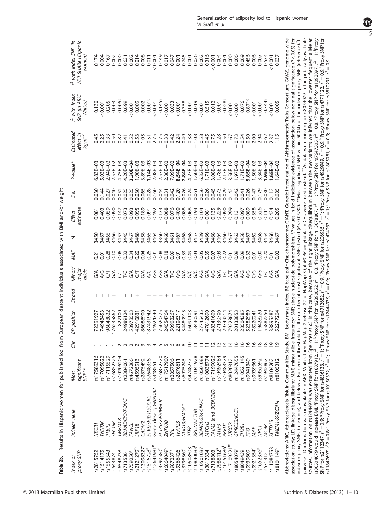<span id="page-5-0"></span>

| proxy SNP<br>Index or                | In/near nene                                                                                                                                                                                                                                                                                                                                                                                                                  |                                          |                 |               |        |                             |      |      |                           |       |                 |                                            | P with index                                                                                                                                | r <sup>2</sup> with index SNP (in                                                                                                   |
|--------------------------------------|-------------------------------------------------------------------------------------------------------------------------------------------------------------------------------------------------------------------------------------------------------------------------------------------------------------------------------------------------------------------------------------------------------------------------------|------------------------------------------|-----------------|---------------|--------|-----------------------------|------|------|---------------------------|-------|-----------------|--------------------------------------------|---------------------------------------------------------------------------------------------------------------------------------------------|-------------------------------------------------------------------------------------------------------------------------------------|
|                                      |                                                                                                                                                                                                                                                                                                                                                                                                                               | significant<br>SMP <sup>**</sup><br>Most | Chr             | BP position   | Strand | Minor/<br>major<br>allele   | MAF  | z    | estimate<br><b>Effect</b> | S.e.  | P-value*        | Estimated<br>effect in<br>$kg m^{-2}$      | SNP (in ARIC<br>Whites)                                                                                                                     | WHI SHARe Hispanic<br>women)                                                                                                        |
| rs2815752                            | NEGR <sub>1</sub>                                                                                                                                                                                                                                                                                                                                                                                                             | \$17589316                               |                 | 72391927      |        |                             | 0.21 | 3450 | 0.081                     | 0.030 | $6.83E - 03$    | 0.45                                       | 0.130                                                                                                                                       | 0.174                                                                                                                               |
| rs1514175                            | TNNI3K                                                                                                                                                                                                                                                                                                                                                                                                                        | rs17095822                               |                 | 74948453      |        | S Z<br>∂                    | 0.01 | 3467 | 0.403                     | 0.144 | $5.03E-03$      | 2.25                                       | 0.001                                                                                                                                       | 0.004                                                                                                                               |
| rs1555543                            | PTBP <sub>2</sub>                                                                                                                                                                                                                                                                                                                                                                                                             | rs17115529                               |                 | 96848822      |        | 둥                           | 0.28 | 3465 | 0.059                     | 0.027 | 2.94E-02        | 0.33                                       | 0.205                                                                                                                                       | 0.167                                                                                                                               |
| rs543874                             | <b>SEC16B</b>                                                                                                                                                                                                                                                                                                                                                                                                                 | rs16852325                               |                 | 176235862     |        |                             | 0.10 | 3466 | 0.090                     | 0.040 | 2.57E-02        | 0.50                                       | 0.003                                                                                                                                       | 0.002                                                                                                                               |
| rs6548238                            | TMEM18                                                                                                                                                                                                                                                                                                                                                                                                                        | rs10205204                               |                 | 827100        |        | ξ5                          | 0.06 | 3457 | 0.147                     | 0.052 | 4.75E-03        | 0.82                                       | $0.005+$                                                                                                                                    | 0.000                                                                                                                               |
| rs713586                             | RBJ/ADCY3/POMC                                                                                                                                                                                                                                                                                                                                                                                                                | rs2384061                                |                 | 24989124      |        |                             | 0.32 | 3445 | 0.073                     | 0.025 | $4.20E - 03$    | 0.41                                       | 0.699                                                                                                                                       | 0.631                                                                                                                               |
| rs759250 <sup>ª</sup>                | <b>FANCL</b>                                                                                                                                                                                                                                                                                                                                                                                                                  | rs4672266                                |                 | 58978503      |        | na<br>2≦                    | 0.34 | 3467 | 0.093                     | 0.025 | 2.30E-04        | 0.52                                       | 0.001                                                                                                                                       | 0.002                                                                                                                               |
| rs2121279 <sup>b</sup>               | LRP <sub>1</sub> B                                                                                                                                                                                                                                                                                                                                                                                                            | \$165959.                                |                 | 142910831     |        | 5                           | 0.20 | 3468 | 0.095                     | 0.030 | 1.90E-03        | 0.53                                       | 0.009                                                                                                                                       | 0.014                                                                                                                               |
| rs13098327 <sup>c</sup>              | CADM2                                                                                                                                                                                                                                                                                                                                                                                                                         | rs2875492                                | $N$ $m$ $m$     | 86088900      |        | S X<br>A C                  | 0.04 | 3458 | 0.189                     | 0.065 | 3.89E-03        | 1.05<br>$\overline{\phantom{a}}$           | 0.002                                                                                                                                       | 0.008                                                                                                                               |
| rs1516728 <sup>d</sup>               | ETV5/SFRS10/DGKG                                                                                                                                                                                                                                                                                                                                                                                                              | rs7648336                                |                 | 87431942      |        |                             | 0.26 | 3465 | 0.091                     | 0.028 | $1.14E - 03$    | 0.51                                       | 0.001 <sup>†</sup>                                                                                                                          | 0.011                                                                                                                               |
| rs12641981 <sup>e</sup>              | Gene desert; GNPDA2                                                                                                                                                                                                                                                                                                                                                                                                           | rs348551                                 | 4556            | 44924340      | $^{+}$ | A/G                         | 0.01 | 3464 | 0.492                     | 0.160 | 2.08E-03        | 2.75                                       | 0.001                                                                                                                                       | < 0.001                                                                                                                             |
| rs3797580 <sup>f</sup>               | FLJ35779/HMGCR                                                                                                                                                                                                                                                                                                                                                                                                                | \$16872770                               |                 | 75020375      | $+$    | A/G                         | 0.08 | 3360 | 0.133                     | 0.044 | 2.57E-03        | 0.75<br>$\overline{\phantom{a}}$           | $0.145+$                                                                                                                                    | 0.149                                                                                                                               |
| rs6864049 <sup>9</sup>               | ZNF608                                                                                                                                                                                                                                                                                                                                                                                                                        | rs17517907                               |                 | 124554764     |        | $\mathfrak{F}_{\mathbb{C}}$ | 0.18 | 3468 | 0.068                     | 0.031 | 2.88E-02        | 0.38<br>$\overline{\phantom{a}}$           | 0.001                                                                                                                                       | 0.017                                                                                                                               |
| rs987237 <sup>h</sup>                | PRL                                                                                                                                                                                                                                                                                                                                                                                                                           | \$2857506                                |                 | 50908267      |        |                             | 0.09 | 3461 | 0.076                     | 0.042 | 7.09E-02        | 0.42                                       | 0.033                                                                                                                                       | 0.047                                                                                                                               |
| rs9366426                            | TFAP <sub>2</sub> B                                                                                                                                                                                                                                                                                                                                                                                                           | rs2876611                                | $\circ$         | 22108317      | $^+$   |                             | 0.01 | 3467 | 0.400                     | 0.120 | <b>B.54E-04</b> | 2.24<br>$\overline{\phantom{a}}$           | < 0.001                                                                                                                                     | 0.001                                                                                                                               |
| rs3798560                            | NUDT3/HMGA1                                                                                                                                                                                                                                                                                                                                                                                                                   | rs6925243                                | $\circ$         | 34489915      | $^{+}$ | 5<br>2<br>2<br>2<br>2       | 0.33 | 3468 | 0.088                     | 0.026 | 7.84E-04        | 0.49                                       | 0.358                                                                                                                                       | 0.745                                                                                                                               |
| rs10508503                           | PTER                                                                                                                                                                                                                                                                                                                                                                                                                          | rs4748237                                | $\overline{C}$  | 16091103      |        | s<br>G                      | 0.49 | 3468 | 0.068                     | 0.024 | $4.23E - 03$    | 0.38                                       | < 0.001                                                                                                                                     | 0.001                                                                                                                               |
| rs10840083                           | RPL27A/TUB                                                                                                                                                                                                                                                                                                                                                                                                                    | rs11041928                               |                 | 8430591       |        | š                           | 0.04 | 3457 | 0.193                     | 0.061 | $1.60E - 03$    | $1.08$<br>0.58<br>$\overline{\phantom{a}}$ | 0.019                                                                                                                                       | 0.026                                                                                                                               |
| rs10501087                           | BDNF/LGR4/LIN7C                                                                                                                                                                                                                                                                                                                                                                                                               | \$10501089                               |                 | 27745435      |        | AC                          | 0.05 | 3439 | 0.104                     | 0.056 | $6.32E - 02$    |                                            | 0.001                                                                                                                                       | 0.002                                                                                                                               |
| rs3817334                            | MTCH <sub>2</sub>                                                                                                                                                                                                                                                                                                                                                                                                             | rs10838774                               |                 | 2690<br>47812 |        | $\frac{1}{2}$               | 0.35 | 3466 | 0.081                     | 0.026 | 1.71E-03        | 0.45                                       | 0.515                                                                                                                                       | 0.316                                                                                                                               |
| rs7138803                            | FAIM2 (and BCDIN3D)                                                                                                                                                                                                                                                                                                                                                                                                           | rs17199026                               |                 | 48341609      |        | A/G                         | 0.07 | 3468 | 0.135                     | 0.045 | 3.08E-03        | 0.75                                       | 0.012                                                                                                                                       | 0.001                                                                                                                               |
| rs7988412 <sup>k</sup>               | MTIF <sub>3</sub>                                                                                                                                                                                                                                                                                                                                                                                                             | rs10492484                               |                 | 27130706      |        | G/A                         | 0.03 | 3464 | 0.229                     | 0.073 | 1.78E-03        | 1.28                                       | 0.001                                                                                                                                       | 0.004                                                                                                                               |
| rs10151686                           | PRKD <sub>1</sub>                                                                                                                                                                                                                                                                                                                                                                                                             | rs10483379                               |                 | 29749214      |        | <b>NS</b>                   | 0.22 | 3460 | 0.090                     | 0.029 | 2.17E-03        | 0.50                                       | $0.028 +$                                                                                                                                   | 0.001                                                                                                                               |
| rs17109221m                          | VRXW <sub>3</sub>                                                                                                                                                                                                                                                                                                                                                                                                             | s8020312                                 | ⋣               | 79223674      |        |                             | 0.01 | 3467 | 0.299                     | 0.142 | 3.56E-02        | 1,67                                       | 0.001                                                                                                                                       | 0.000                                                                                                                               |
| rs8054079 <sup>n</sup>               | GPRC5B/IQCK                                                                                                                                                                                                                                                                                                                                                                                                                   | rs12447655                               | $\frac{6}{2}$   | 20132853      |        | $\mathcal{E}_{\Theta}$      | 0.09 | 3463 | 0.131                     | 0.042 | 1.97E-03        | 0.73                                       | 0.001                                                                                                                                       | 0.006                                                                                                                               |
| rs8049439                            | SH <sub>2</sub> B <sub>1</sub>                                                                                                                                                                                                                                                                                                                                                                                                | rs10521145                               | $\tilde{\circ}$ | 28504385      |        | A/G                         | 0.09 | 3458 | 0.097                     | 0.041 | 1.71E-02        | 0.54                                       | 0.076                                                                                                                                       | 0.069                                                                                                                               |
| rs9939609                            | FТO                                                                                                                                                                                                                                                                                                                                                                                                                           | rs9941349                                | ڡ               | 52382989      |        | 4/6                         | 0.32 | 3467 | 0.089                     | 0.026 | 5.85E-04        | 0.50                                       | $0.871+$                                                                                                                                    | 0.456                                                                                                                               |
| rs9921354°                           | MAF                                                                                                                                                                                                                                                                                                                                                                                                                           | \$9939361                                | $\frac{6}{2}$   | 78220241      |        | უ<br>ა                      | 0.01 | 3462 | 0.358                     | 0.147 | 1.50E-02        | 2.00                                       | 0.001                                                                                                                                       | 0.006                                                                                                                               |
| rs1652376 <sup>p</sup>               | NPC <sub>1</sub>                                                                                                                                                                                                                                                                                                                                                                                                              | rs9952592                                | $\approx$       | 19428220      |        | A/G                         | 0.00 | 3468 | 0.526                     | 0.179 | 3.34E-03        | 2.94                                       | < 0.001                                                                                                                                     | 0.007                                                                                                                               |
| rs571312                             | MC4R                                                                                                                                                                                                                                                                                                                                                                                                                          | rs1942867                                | $\frac{8}{2}$   | 55887250      |        | $\geq$                      | 0.20 | 3454 | 0.111                     | 0.030 | <b>PO-355</b>   | 0.62                                       | $0.744\dagger$                                                                                                                              | 0.534                                                                                                                               |
| rs11084753<br>rs8101149 <sup>9</sup> | KCTD15                                                                                                                                                                                                                                                                                                                                                                                                                        | rs8104262                                | $\frac{5}{2}$   | 38895287      |        | 5y                          | 0.01 | 3466 | 0.424                     | 0.112 | L.65E-04        | 2.37                                       | 0.001                                                                                                                                       | 0.001                                                                                                                               |
|                                      | TMEM160/ZC3H4                                                                                                                                                                                                                                                                                                                                                                                                                 | rs8105312                                |                 | 7204<br>5227  |        | $rac{1}{5}$                 | 0.02 | 3467 | 0.205                     | 0.085 | $.64E - 02$     | 1.15                                       | 0.005                                                                                                                                       | 0.037                                                                                                                               |
|                                      | Abbreviations: ARIC, Atherosclerosis Risk in Communities Study; BMI, body mass index; BP, base pair; Chr, chromosome; GIANT, Genetic Investigation of ANthropometric Traits Consortium; GWAS, genome-wide                                                                                                                                                                                                                     |                                          |                 |               |        |                             |      |      |                           |       |                 |                                            |                                                                                                                                             |                                                                                                                                     |
|                                      | index or proxy SNPs (reference), and below a Bonferroni threshold for the number of most significant SNPs tested (P<0.05/32). **Most significant SNP within 500 kb of the index or proxy SNP (reference). If<br>association study; LD, linkage disequilibrium; MAF, minor allele frequency; SNP, single-nucleotide polymorphism. *P-values in bold indidicate evidence of association below nominal significance (P<0.05) for |                                          |                 |               |        |                             |      |      |                           |       |                 |                                            |                                                                                                                                             |                                                                                                                                     |
|                                      | pairwise LD information was unavailable in ARIC Whites then HapMap 2 release 22 or HapMap 3 (at MC4R only) data in CEU were used instead. <sup>**</sup> As data were missing for rs8054079 in the publically available                                                                                                                                                                                                        |                                          |                 |               |        |                             |      |      |                           |       |                 |                                            |                                                                                                                                             |                                                                                                                                     |
|                                      | rs80504079 would increase BMI. <sup>9</sup> Proxy SNP for rs887912, $\vec{r} = 1$ ; <sup>b</sup> Proxy SNP for rs2890652, $\vec{r} = 0.8;$ Proxy SNP for rs13078807, $\vec{r} = 1;$ <sup>0</sup> Proxy SNP for 887912, $\vec{r} = 1;$ $\hat{v}$ Proxy<br>sources, information on rs12444979 was extracted from Speliotes et al.                                                                                               |                                          |                 |               |        |                             |      |      |                           |       |                 |                                            |                                                                                                                                             | In this case, because of the tight linkage disequilibrium between the two variants we inferred that the lowester frequent allele at |
|                                      | SNP for rs2112347, $\vec{r} = 0.9$ Proxy SNP for rs436133, $\vec{r} = 1$ ; Proxy SNP for rs4712652, $\vec{r} = 0.9$ ; Proxy SNP for rs4706936, $\vec{r} = 1$ ; Proxy SNP for rs4929949, $\vec{r} = 0.9$ ; Proxy SNP for rs4771122, $\vec{r} = 0.9$ ;                                                                                                                                                                          |                                          |                 |               |        |                             |      |      |                           |       |                 |                                            |                                                                                                                                             |                                                                                                                                     |
|                                      | rs11847697, $r^2$ 2 = 0.8; "Proxy SNP for rs10150332, $r^2$ = 1; "Proxy SNP for                                                                                                                                                                                                                                                                                                                                               |                                          |                 |               |        |                             |      |      |                           |       |                 |                                            | rs12444979, $r^2$ = 0.9; °Proxy SNP for rs1424233, $r^2$ = 1; °Proxy SNP for rs1805081, $r^2$ = 0.9; °Proxy SNP for rs3810291, $r^2$ = 0.9. |                                                                                                                                     |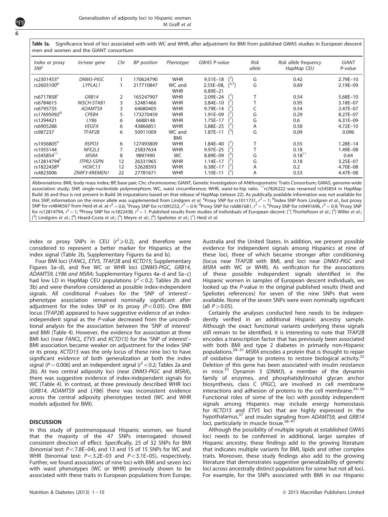Table 3a. Significance level of loci associated with with WC and WHR, after adjustment for BMI from published GWAS studies in European descent men and women and the GIANT consortium

| Index or proxy<br><b>SNP</b> | In/near gene      | Chr | <b>BP</b> position | Phenotype            | <b>GWAS P-value</b>                                 | <b>Risk</b><br>allele | Risk allele frequency<br>HapMap CEU | <b>GIANT</b><br>P-value |
|------------------------------|-------------------|-----|--------------------|----------------------|-----------------------------------------------------|-----------------------|-------------------------------------|-------------------------|
| rs2301453 <sup>ª</sup>       | DNM3-PIGC         |     | 170624790          | <b>WHR</b>           | $\lceil \cdot \rceil$<br>$9.51E - 18$               | G                     | 0.42                                | $2.79E - 10$            |
| rs2605100 <sup>b</sup>       | LYPLAL1           |     | 217710847          | WC and<br><b>WHR</b> | [3,7]<br>$2.55E-08.$<br>$6.89E - 21$                | G                     | 0.69                                | 2.19E-09                |
| rs6717858 <sup>c</sup>       | GRB14             | 2   | 165247907          | <b>WHR</b>           | $2.09E-24$ [ <sup>1</sup> ]                         |                       | 0.54                                | 5.68E-10                |
| rs6784615                    | NISCH-STAB1       | 3   | 52481466           | <b>WHR</b>           | 3.84E-10<br>- L J                                   |                       | 0.95                                | 3.18E-07                |
| rs6795735                    | ADAMTS9           | 3   | 64680405           | <b>WHR</b>           | $\lceil$ <sup>'</sup><br>9.79E-14                   |                       | 0.54                                | 2.47E-07                |
| rs17695092 <sup>d</sup>      | CPEB4             | 5   | 173270459          | <b>WHR</b>           | 1.91E-09<br>$\lceil$ <sup><math>\prime</math></sup> | G                     | 0.29                                | 8.27E-07                |
| rs1294421                    | LY86              | 6   | 6688148            | <b>WHR</b>           | $\mathsf{I}^7$<br>1.75E-17                          | G                     | 0.6                                 | $6.31E - 09$            |
| rs6905288                    | <b>VEGFA</b>      | 6   | 43866851           | <b>WHR</b>           | $\lceil$ <sup>'</sup><br>5.88E-25                   | A                     | 0.58                                | $4.72E - 10$            |
| rs987237                     | TFAP2B            | 6   | 50911009           | WC and<br><b>BMI</b> | $1.87E-11$ $[^{3}]$                                 | G                     | 0.09                                | 0.096                   |
| rs1936805 <sup>e</sup>       | RSPO3             | 6   | 127493809          | <b>WHR</b>           | 1.84E-40 $\binom{1}{1}$                             |                       | 0.55                                | 1.28E-14                |
| rs1055144                    | NFE2L3            |     | 25837634           | <b>WHR</b>           | 9.97E-25                                            |                       | 0.18                                | 1.49E-08                |
| rs545854 <sup>TT</sup>       | <b>MSRA</b>       | 8   | 9897490            | <b>WC</b>            | $\mathsf{I}^3$<br>8.89E-09                          | G                     | $0.18^{++}$                         | 0.64                    |
| rs12814794 <sup>f</sup>      | <b>ITPR2-SSPN</b> | 12  | 26331965           | <b>WHR</b>           | $1.14E - 17$                                        | G                     | 0.18                                | 3.25E-07                |
| rs18224389                   | HOXC13            | 12  | 52628593           | <b>WHR</b>           | $6.38E - 17$                                        | A                     | 0.2                                 | 4.70E-08                |
| rs4823006                    | ZNRF3-KREMEN1     | 22  | 27781671           | <b>WHR</b>           | $1.10E - 11$                                        | A                     | 0.53                                | 4.47E-08                |

Abbreviations: BMI, body mass index; BP, base pair; Chr, chromosome; GIANT, Genetic Investigation of ANthropometric Traits Consortium; GWAS, genome-wide association study; SNP, single-nucleotide polymorphism; WC, waist circumference; WHR, waist-to-hip ratio. <sup>††</sup>rs7826222 was renamed rs545854 in HapMap Build 36 and thus is not present in Build 36 imputations based on that release of HapMap (release 22). As publically available information was not available for this SNP, information on the minor allele was supplemented from Lindgren *et al.* <sup>a</sup>Proxy SNP for rs1011731,  $r^2$  = 1; <sup>b</sup>Index SNP from Lindgren *et al.*, but proxy SNP for rs4846567 from Heid et al. at  $r^2$   $=$  0.6; <sup>c</sup>Proxy SNP for rs1095252,  $r^2$   $=$  0.9;  $^4$ Proxy SNP for rs6861681,  $r^2$   $=$  1;  $^{\rm e}$ Proxy SNP for rs9491696,  $r^2$   $=$  0.9;  $^{\rm f}$ Proxy SNP for rs12814794,  $r^2$  = 1; <sup>g</sup>Proxy SNP for rs1822438,  $r^2$  = 1. Published results from studies of individuals of European decent: [<sup>1</sup>] Thorleifsson *et al.*; [<sup>2</sup>] Willer *et al.*; [<sup>3</sup>] Lindgren et al.; [<sup>4</sup>] Heard-Costa et al.; [<sup>5</sup>] Meyre et al.; [<sup>6</sup>] Speliotes et al.; [<sup>7</sup>] Heid et al.

index or proxy SNPs in CEU ( $r^2 \ge 0.2$ ), and therefore were considered to represent a better marker for Hispanics at the index signal [\(Table 2b](#page-5-0), Supplementary Figures 6a and b).

Four BMI loci (FANCL, ETV5, TFAP2B and KCTD15; Supplementary Figures 3a–d), and five WC or WHR loci (DNM3-PIGC, GRB14, ADAMTS9, LY86 and MSRA; Supplementary Figures 4a–d and 5a–c) had low LD in HapMap CEU populations  $(r^2 < 0.2)$ ; [Tables 2b and](#page-5-0) [3b\)](#page-5-0) and were therefore considered as possible index-independent signals. All conditional P-values for the 'SNP of interest'– phenotype association remained nominally significant after adjustment for the index SNP or its proxy  $(P<0.05)$ . One BMI locus (TFAP2B) appeared to have suggestive evidence of an indexindependent signal as the P-value decreased from the unconditional analysis for the association between the 'SNP of interest' and BMI ([Table 4\)](#page-9-0). However, the evidence for association at three BMI loci (near FANCL, ETV5 and KCTD15) for the 'SNP of interest'-BMI association became weaker on adjustment for the index SNP or its proxy. KCTD15 was the only locus of these nine loci to have significant evidence of both generalization at both the index signal ( $P = 0.006$ ) and an independent signal ( $r<sup>2</sup> < 0.2$ ; [Tables 2a and](#page-4-0) [2b\)](#page-4-0). At two central adiposity loci (near DNM3-PIGC and MSRA), there was suggestive evidence of index-independent signals for WC ([Table 4\)](#page-9-0). In contrast, at three previously described WHR loci (GRB14, ADAMTS9 and LY86) there was inconsistent evidence across the central adiposity phenotypes tested (WC and WHR models adjusted for BMI).

#### **DISCUSSION**

6

In this study of postmenopausal Hispanic women, we found that the majority of the 47 SNPs interrogated showed consistent direction of effect. Specifically, 25 of 32 SNPs for BMI (binomial test:  $P < 7.8E-04$ ), and 13 and 15 of 15 SNPs for WC and WHR (binomial test:  $P < 3.2E-03$  and  $P < 3.1E-05$ ), respectively. Further, we found associations of nine loci with BMI and seven loci with waist phenotypes (WC or WHR) previously shown to be associated with these traits in European populations from Europe, Australia and the United States. In addition, we present possible evidence for independent signals among Hispanics at nine of these loci, three of which became stronger after conditioning (locus near TFAP2B with BMI, and loci near DNM3-PIGC and MSRA with WC or WHR). As verification for the associations of these possible independent signals identified in the Hispanic women in samples of European descent individuals, we looked up the P-value in the original published results (Heid and Speliotes references) for seven of the nine SNPs that were available. None of the seven SNPs were even nominally significant (all  $P > 0.05$ ).

Certainly the analyses conducted here needs to be independently verified in an additional Hispanic ancestry sample. Although the exact functional variants underlying these signals still remain to be identified, it is interesting to note that TFAP2B encodes a transcription factor that has previously been associated with both BMI and type 2 diabetes in primarily non-Hispanic populations.[29–31](#page-10-0) MSRA encodes a protein that is thought to repair of oxidative damage to proteins to restore biological activity.[32](#page-10-0) Deletion of this gene has been associated with insulin resistance in mice. $33$  Dynamin 3 (DNM3), a member of the dynamin family of enzymes, and phosphatidylinositol glycan anchor biosynthesis, class C (PIGC), are involved in cell membrane interactions and adhesion of proteins to the cell membrane. $34-36$ Functional roles of some of the loci with possibly independent signals among Hispanics may include energy homeostasis for KCTD15 and ETV5 loci that are highly expressed in the hypothalamus,<sup>[37](#page-10-0)</sup> and insulin signaling from ADAMTS9, and GRB14 loci, particularly in muscle tissue.<sup>38-41</sup>

Although the possibility of multiple signals at established GWAS loci needs to be confirmed in additional, larger samples of Hispanic ancestry, these findings add to the growing literature that indicates multiple variants for BMI, lipids and other complex traits. Moreover, these study findings also add to the growing literature that demonstrates suggestive generalizability of genetic loci across ancestrally distinct populations for some but not all loci. For example, for the SNPs associated with BMI in our Hispanic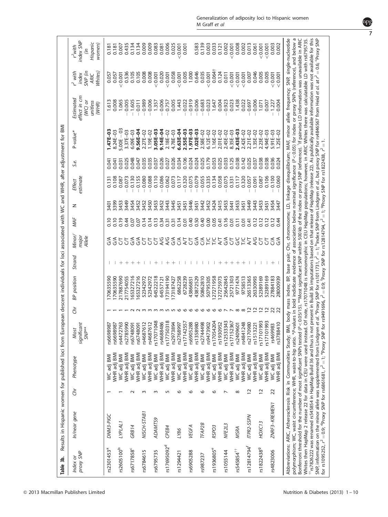<span id="page-7-0"></span>

| Table 3b.               | Results in Hispanic women for published loci from European descent individuals for loci associated with WC and WHR, after adjustment for BMI                                                                                                                                                                                                                                                                                                                                                                                                                                                                                                                                                                                                                                                                                                                                                                                                                                                                                                                                                                                                |                |                           |                                          |                                               |                                                                                                                            |                          |                                                              |                                 |              |                           |                |                              |                                                                                                                                                                                                                                                                                                                                     |                                                   |                                                   |
|-------------------------|---------------------------------------------------------------------------------------------------------------------------------------------------------------------------------------------------------------------------------------------------------------------------------------------------------------------------------------------------------------------------------------------------------------------------------------------------------------------------------------------------------------------------------------------------------------------------------------------------------------------------------------------------------------------------------------------------------------------------------------------------------------------------------------------------------------------------------------------------------------------------------------------------------------------------------------------------------------------------------------------------------------------------------------------------------------------------------------------------------------------------------------------|----------------|---------------------------|------------------------------------------|-----------------------------------------------|----------------------------------------------------------------------------------------------------------------------------|--------------------------|--------------------------------------------------------------|---------------------------------|--------------|---------------------------|----------------|------------------------------|-------------------------------------------------------------------------------------------------------------------------------------------------------------------------------------------------------------------------------------------------------------------------------------------------------------------------------------|---------------------------------------------------|---------------------------------------------------|
| proxy SNP<br>Index or   | In/near gene                                                                                                                                                                                                                                                                                                                                                                                                                                                                                                                                                                                                                                                                                                                                                                                                                                                                                                                                                                                                                                                                                                                                | Ğ              | Phenotype                 | significant<br>SMP <sup>**</sup><br>Most | Ğ                                             | BP position                                                                                                                | Strand                   | Minor/<br>major<br>Allele                                    | MAF                             | z            | estimate<br><b>Effect</b> | S.e.           | P-value*                     | effect in cm<br>Estimated<br>$WC$ or<br>unitless<br>(WHR)                                                                                                                                                                                                                                                                           | Nhites)<br>$r^2$ with<br>SNP (in<br>index<br>ARIC | index SNP<br>Hispanic<br>women)<br>$r2$ with<br>Ξ |
| rs2301453ª              | DNM3-PIGC                                                                                                                                                                                                                                                                                                                                                                                                                                                                                                                                                                                                                                                                                                                                                                                                                                                                                                                                                                                                                                                                                                                                   |                | <b>WC</b> adj BMI         | rs6698987                                |                                               | 70635590                                                                                                                   |                          |                                                              |                                 | 3401         | 0.131                     | 0.041          | 1.47E-03                     | 1.613                                                                                                                                                                                                                                                                                                                               | 0.057                                             | 0.181                                             |
| rs2605100 <sup>b</sup>  | LYPLAL <sub>1</sub>                                                                                                                                                                                                                                                                                                                                                                                                                                                                                                                                                                                                                                                                                                                                                                                                                                                                                                                                                                                                                                                                                                                         |                | WHR adj BM<br>WC adj BMI  | rs6698987<br>rs4472763                   |                                               | 70635590<br>217887690                                                                                                      |                          |                                                              | 0.10<br>0.19                    | 3399<br>3453 | 0.108<br>0.087            | 0.031<br>0.041 | $5.00E - 03$<br>8.24E-03     | 1.065<br>0.008                                                                                                                                                                                                                                                                                                                      | 0.057<br>0.001                                    | 0.007<br>0.181                                    |
|                         |                                                                                                                                                                                                                                                                                                                                                                                                                                                                                                                                                                                                                                                                                                                                                                                                                                                                                                                                                                                                                                                                                                                                             |                | WHR adj BM                | rs2785990                                |                                               | 217754055                                                                                                                  | $^{+}$                   |                                                              | 0.44                            | 3449         | 0.073                     | 0.025          | 3.37E-03                     | 0.005                                                                                                                                                                                                                                                                                                                               | 0.536                                             | 0.435                                             |
| rs6717858 <sup>c</sup>  | GRB14                                                                                                                                                                                                                                                                                                                                                                                                                                                                                                                                                                                                                                                                                                                                                                                                                                                                                                                                                                                                                                                                                                                                       |                | WHR adj BM<br>WC adj BMI  | rs6748091<br>rs6748091                   |                                               | 65327216<br>65327216                                                                                                       | $++$                     | <b>ぞんとてんぐとりとくないということからのころでいいです</b><br>そそととなるとということとないというからない | 0.07<br>0.07                    | 3454<br>3452 | 0.130<br>0.155            | 0.048<br>0.047 | 9.56E-04<br>$6.09E - 03$     | 1.605<br>0.011                                                                                                                                                                                                                                                                                                                      | 0.105<br>0.105                                    | 0.134<br>0.134                                    |
| rs6784615               | NISCH-STAB1                                                                                                                                                                                                                                                                                                                                                                                                                                                                                                                                                                                                                                                                                                                                                                                                                                                                                                                                                                                                                                                                                                                                 | m              | WC adj BMI                | rs4687612                                |                                               | 52342972                                                                                                                   | $\overline{\phantom{a}}$ |                                                              | 0.14                            | 3452         | 0.080                     | 0.035          | 2.27E-02                     | $-0.989$                                                                                                                                                                                                                                                                                                                            | 0.008                                             | 0.009                                             |
|                         |                                                                                                                                                                                                                                                                                                                                                                                                                                                                                                                                                                                                                                                                                                                                                                                                                                                                                                                                                                                                                                                                                                                                             |                | WHR adj BM                | rs4687612                                |                                               | 52342972                                                                                                                   |                          |                                                              | 0.14                            | 3450         | 0.088                     | 0.035          | 1.19E-02                     | 0.006                                                                                                                                                                                                                                                                                                                               | 0.008                                             | 0.009                                             |
| rs6795735               | ADAMTS9                                                                                                                                                                                                                                                                                                                                                                                                                                                                                                                                                                                                                                                                                                                                                                                                                                                                                                                                                                                                                                                                                                                                     | m              | WHR adj BM<br>WC adj BMI  | \$17071048<br>rs4688486                  | mmmmun vo                                     | 64522218<br>64557121                                                                                                       |                          |                                                              | 0.13<br>0.34                    | 3453<br>3452 | 0.110<br>0.086            | 0.026<br>0.037 | $9.14E - 04$<br>$3.05E - 03$ | 0.006<br>1.357                                                                                                                                                                                                                                                                                                                      | 0.020<br>0.001                                    | 0.083<br>0.081                                    |
| rs17695092 <sup>d</sup> | CPEB4                                                                                                                                                                                                                                                                                                                                                                                                                                                                                                                                                                                                                                                                                                                                                                                                                                                                                                                                                                                                                                                                                                                                       | 5              | WC adj BMI                | rs17750318                               |                                               | 173194190                                                                                                                  |                          |                                                              | 0.31                            | 3443         | 0.062                     | 0.027          | 2.18E-02                     | 0.757                                                                                                                                                                                                                                                                                                                               | 0.001                                             | 0.006                                             |
|                         |                                                                                                                                                                                                                                                                                                                                                                                                                                                                                                                                                                                                                                                                                                                                                                                                                                                                                                                                                                                                                                                                                                                                             |                | WHR adj BMI               | rs2973894                                |                                               | 173187427                                                                                                                  |                          |                                                              | 0.31                            | 3445         | 0.073                     | 0.026          | 4.78E-03                     | 0.005                                                                                                                                                                                                                                                                                                                               | 0.058                                             | 0.025                                             |
| rs1294421               | 98/7                                                                                                                                                                                                                                                                                                                                                                                                                                                                                                                                                                                                                                                                                                                                                                                                                                                                                                                                                                                                                                                                                                                                        | ७              | WHR adj BM<br>WC adj BMI  | rs2768997<br>rs17142557                  | $\circ$                                       | 6862258<br>6728239                                                                                                         |                          |                                                              | 0.14<br>0.01                    | 3451<br>3451 | 0.320<br>0.117            | 0.106<br>0.034 | 2.55E-03<br>$6.63E - 04$     | 1.443<br>0.022                                                                                                                                                                                                                                                                                                                      | 0.005<br>0.001                                    | 0.001<br>0.001                                    |
| rs6905288               | <b>VEGFA</b>                                                                                                                                                                                                                                                                                                                                                                                                                                                                                                                                                                                                                                                                                                                                                                                                                                                                                                                                                                                                                                                                                                                                | ७              | WC adj BMI                | rs6905288                                | $\circ$                                       | 43866851                                                                                                                   |                          |                                                              | 0.40                            | 3446         | 0.075                     | 0.024          | 1.97E-03                     | 0.919                                                                                                                                                                                                                                                                                                                               | 1.000                                             |                                                   |
|                         |                                                                                                                                                                                                                                                                                                                                                                                                                                                                                                                                                                                                                                                                                                                                                                                                                                                                                                                                                                                                                                                                                                                                             |                | WHR adj BMI               | rs1358980                                | ഄ                                             | 43872529                                                                                                                   |                          |                                                              | 0.50                            | 3451         | 0.079                     | 0.024          | $1.02E - 03$                 | 0.006                                                                                                                                                                                                                                                                                                                               | 0.646                                             | 0.583                                             |
| rs987237                | TFAP <sub>2</sub> B                                                                                                                                                                                                                                                                                                                                                                                                                                                                                                                                                                                                                                                                                                                                                                                                                                                                                                                                                                                                                                                                                                                         | ৩              | WC adj BMI                | rs2744498                                | $\circ$                                       | 50862810                                                                                                                   |                          |                                                              | 0.40                            | 3442         | 0.055                     | 0.025          | 2.58E-02                     | 0.683                                                                                                                                                                                                                                                                                                                               | 0.035                                             | 0.139                                             |
|                         |                                                                                                                                                                                                                                                                                                                                                                                                                                                                                                                                                                                                                                                                                                                                                                                                                                                                                                                                                                                                                                                                                                                                             |                | WHR adj BM                | rs9473902                                |                                               | 50795305                                                                                                                   |                          |                                                              | 0.00                            | 3452         | 0.335                     | 0.179          | $6.12E - 02$                 | 0.023                                                                                                                                                                                                                                                                                                                               | 0.001                                             | 0.003                                             |
| rs1936805 <sup>e</sup>  | RSPO <sub>3</sub>                                                                                                                                                                                                                                                                                                                                                                                                                                                                                                                                                                                                                                                                                                                                                                                                                                                                                                                                                                                                                                                                                                                           | م              | WC adj BMI                | rs17054204                               |                                               | 27271958                                                                                                                   |                          |                                                              | 0.05                            | 3424         | 0.134                     | 0.053          | 1.16E-02                     | 1.647                                                                                                                                                                                                                                                                                                                               | 0.064 <sup>†</sup>                                | 0.033                                             |
| rs1055144               | NFE2L3                                                                                                                                                                                                                                                                                                                                                                                                                                                                                                                                                                                                                                                                                                                                                                                                                                                                                                                                                                                                                                                                                                                                      |                | WHR adj BM<br>WC adj BMI  | \$12533343<br>rs1930952                  |                                               | 27275973<br>25642845                                                                                                       |                          |                                                              | 0.16<br>0.41                    | 3415<br>3453 | 0.058<br>0.075            | 0.025<br>0.033 | 2.01E-02<br>2.45E-02         | 0.004<br>0.923                                                                                                                                                                                                                                                                                                                      | 0.124<br>0.011                                    | 0.002<br>0.121                                    |
|                         |                                                                                                                                                                                                                                                                                                                                                                                                                                                                                                                                                                                                                                                                                                                                                                                                                                                                                                                                                                                                                                                                                                                                             |                | WHR adj BMI               | rs17152367                               | $\circ \circ \circ \circ \wedge \wedge \circ$ | 25721303                                                                                                                   | $^{+}$                   |                                                              | 0.01                            | 3441         | 0.331                     | 0.125          | 8.35E-03                     | 0.023                                                                                                                                                                                                                                                                                                                               | 0.001                                             | 0.001                                             |
| rs545854 <sup>††</sup>  | MSRA                                                                                                                                                                                                                                                                                                                                                                                                                                                                                                                                                                                                                                                                                                                                                                                                                                                                                                                                                                                                                                                                                                                                        | $^{\circ}$     | WC adj BMI                | rs2409601                                |                                               | 9771474                                                                                                                    |                          |                                                              | $\overline{0}$ . $\overline{1}$ | 3453         | 0.117                     | 0.038          | $2.43E - 03$                 | 1,438                                                                                                                                                                                                                                                                                                                               | < 0.001                                           | 0.008                                             |
|                         |                                                                                                                                                                                                                                                                                                                                                                                                                                                                                                                                                                                                                                                                                                                                                                                                                                                                                                                                                                                                                                                                                                                                             |                | <b>NHR</b> adj BMI        | rs4841248                                | $\infty$                                      | 9758513                                                                                                                    |                          |                                                              | 0.01                            | 3451         | 0.320                     | 0.142          | 2.42E-02                     | 0.022                                                                                                                                                                                                                                                                                                                               | 0.001                                             | 0.002                                             |
| rs12814794 <sup>f</sup> | ITPR2-SSPN                                                                                                                                                                                                                                                                                                                                                                                                                                                                                                                                                                                                                                                                                                                                                                                                                                                                                                                                                                                                                                                                                                                                  |                | WHR adj BMI<br>WC adj BMI | rs2170980<br>rs1513221                   | $\sim$ $\sim$                                 | 26513365<br>26330993                                                                                                       |                          |                                                              | 0.12<br>0.41                    | 3449<br>3443 | 0.057<br>0.091            | 0.025<br>0.037 | 2.21E-02<br>$1.35E - 02$     | 0.697<br>0.006                                                                                                                                                                                                                                                                                                                      | 0.046<br>0.007                                    | 0.013<br>0.061                                    |
| rs18224389              | HOXC13                                                                                                                                                                                                                                                                                                                                                                                                                                                                                                                                                                                                                                                                                                                                                                                                                                                                                                                                                                                                                                                                                                                                      | $\overline{c}$ | WC adj BMI                | SQC1017101                               |                                               | 52389169                                                                                                                   |                          |                                                              | 0.12                            | 3453         | 0.087                     | 0.038          | 2.23E-02                     | 1.071                                                                                                                                                                                                                                                                                                                               | 0.005                                             | < 0.001                                           |
|                         |                                                                                                                                                                                                                                                                                                                                                                                                                                                                                                                                                                                                                                                                                                                                                                                                                                                                                                                                                                                                                                                                                                                                             |                | WHR adj BM                | \$17101993                               | $\overline{a}$ $\overline{a}$                 | 52389169                                                                                                                   |                          |                                                              | 0.12                            | 3451         | 0.106                     | 0.038          | $4.94E - 03$                 | 0.007                                                                                                                                                                                                                                                                                                                               | 0.005                                             | < 0.001                                           |
| rs4823006               | ZNRF3-KREMEN1                                                                                                                                                                                                                                                                                                                                                                                                                                                                                                                                                                                                                                                                                                                                                                                                                                                                                                                                                                                                                                                                                                                               | 22             | WHR adj BMI<br>WC adj BMI | rs469983<br>rs3788410                    | $\frac{2}{2}$                                 | 28000939<br>27884183                                                                                                       |                          | 55                                                           | 0.12<br>0.44                    | 3454<br>3447 | 0.100<br>0.060            | 0.036<br>0.024 | $5.91E - 03$<br>$.25E - 02$  | 0.004<br>1.227                                                                                                                                                                                                                                                                                                                      | < 0.001<br>0.001                                  | 0.003<br>0.002                                    |
|                         | polymorphism; WC, waist circumference; WHR, waist-to-hip ratio. *P-values in bold indidicate evidence of association below nominal significance (P<0.05) for index or proxy SNPs (reference), and below a<br>$^{+}$ rs7826222 was renamed rs545854 in HapMap Build 36 and thus is not present in Build 36 imputations based on that release of HapMap (release 22). As publically available information was not available for this<br>Bonferroni threshold for the number of most significant SNPs tested (P < 0.05/15). **Most significant SNP within 500kb of the index or proxy SNP (reference). <sup>1</sup> if pairwise LD information was unavailable in ARIC<br>Whites then HapMap 2 release 22 for data in CEU were used instead. Of note, rs17071048 is monomorphic in CEU HapMap populations; however, in ARIC Whites there was calculatable LD with rs6735.<br>SNP, information on the minor allele was supplemented from Lindgren et<br>for rs1095252, $r^2 = 0.9$ ; ${}^{\text{d}}$ Proxy SNP for rs6861681, $r^2 = 1$ ; ${}^{\text{e}}$ Proxy SNP for<br>Abbreviations: ARIC, Atherosclerosis Risk in Communities Study; BMI, |                |                           |                                          |                                               | rs9491696, $r^2$ = 0.9; <sup>f</sup> Proxy SNP for rs12814794, $r^2$ = 1; <sup>9</sup> Proxy SNP for rs1822438, $r^2$ = 1. |                          |                                                              |                                 |              |                           |                |                              | <i>al.</i> <sup>9</sup> Proxy SNP for rs1011731, $r^2$ = 1; <sup>b</sup> Index SNP from Lindgren <i>et al.</i> , but proxy SNP for rs4846567 from Heid <i>et al.</i> at $r^2$ = 0.6; 'Proxy SNP<br>body mass index; BP, base pair; Chr, chromosome; LD, linkage disequilibrium; MAF, minor allele frequency; SNP, single-nucleotide |                                                   |                                                   |
|                         |                                                                                                                                                                                                                                                                                                                                                                                                                                                                                                                                                                                                                                                                                                                                                                                                                                                                                                                                                                                                                                                                                                                                             |                |                           |                                          |                                               |                                                                                                                            |                          |                                                              |                                 |              |                           |                |                              |                                                                                                                                                                                                                                                                                                                                     |                                                   |                                                   |

npg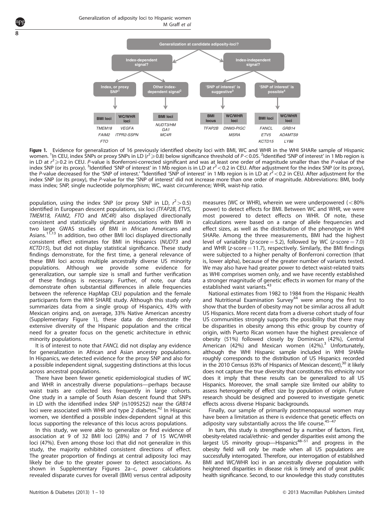<span id="page-8-0"></span>

Figure 1. Evidence for generalization of 16 previously identified obesity loci with BMI, WC and WHR in the WHI SHARe sample of Hispanic women. <sup>1</sup>In CEU, index SNPs or proxy SNPs in LD (r<sup>2</sup> $\geqslant$  0.8) below significance threshold of P<0.05. <sup>2</sup>Identified 'SNP of interest' in 1 Mb region is in LD at  $r^2 \ge 0.2$  in CEU. P-value is Bonferroni-corrected significant and was at least one order of magnitude smaller than the P-value of the index SNP (or its proxy). <sup>3</sup>Identified 'SNP of interest' in 1 Mb region is in LD at  $r^2$  < 0.2 in CEU. After adjustment for the index SNP (or its proxy), the P-value decreased for the 'SNP of interest.' <sup>4</sup>Identified 'SNP of interest' in 1 Mb region is in LD at  $r^2$  < 0.2 in CEU. After adjustment for the index SNP (or its proxy), the P-value for the 'SNP of interest' did not increase more than one order of magnitude. Abbreviations: BMI, body mass index; SNP, single nucleotide polymorphism; WC, waist circumference; WHR, waist-hip ratio.

population, using the index SNP (or proxy SNP in LD,  $r^2 > 0.5$ ) identified in European descent populations, six loci (TFAP2B, ETV5, TMEM18, FAIM2, FTO and MC4R) also displayed directionally consistent and statistically significant associations with BMI in two large GWAS studies of BMI in African Americans and Asians.<sup>[11,13](#page-9-0)</sup> In addition, two other BMI loci displayed directionally consistent effect estimates for BMI in Hispanics (NUDT3 and KCTD15), but did not display statistical significance. These study findings demonstrate, for the first time, a general relevance of these BMI loci across multiple ancestrally diverse US minority populations. Although we provide some evidence for generalization, our sample size is small and further verification of these findings is necessary. Further, of note, our data demonstrate often substantial differences in allele frequencies between the reference HapMap CEU population and the female participants form the WHI SHARE study. Although this study only summarizes data from a single group of Hispanics, 43% with Mexican origins and, on average, 33% Native American ancestry (Supplementary Figure 1), these data do demonstrate the extensive diversity of the Hispanic population and the critical need for a greater focus on the genetic architecture in ethnic minority populations.

It is of interest to note that FANCL did not display any evidence for generalization in African and Asian ancestry populations. In Hispanics, we detected evidence for the proxy SNP and also for a possible independent signal, suggesting distinctions at this locus across ancestral populations.

There have been fewer genetic epidemiological studies of WC and WHR in ancestrally diverse populations—perhaps because waist traits are collected less frequently in large cohorts. One study in a sample of South Asian descent found that SNPs in LD with the identified index SNP (rs1095252) near the GRB14 loci were associated with WHR and type 2 diabetes.<sup>[42](#page-10-0)</sup> In Hispanic women, we identified a possible index-dependent signal at this locus supporting the relevance of this locus across populations.

In this study, we were able to generalize or find evidence of association at 9 of 32 BMI loci (28%) and 7 of 15 WC/WHR loci (47%). Even among those loci that did not generalize in this study, the majority exhibited consistent directions of effect. The greater proportion of findings at central adiposity loci may likely be due to the greater power to detect associations. As shown in Supplementary Figures 2a–c, power calculations revealed disparate curves for overall (BMI) versus central adiposity measures (WC or WHR), wherein we were underpowered ( $<$ 80% power) to detect effects for BMI. Between WC and WHR, we were most powered to detect effects on WHR. Of note, these calculations were based on a range of allele frequencies and effect sizes, as well as the distribution of the phenotype in WHI SHARe. Among the three measurements, BMI had the highest level of variability (z-score  $=$  5.2), followed by WC (z-score  $=$  7.0) and WHR ( $z$ -score  $= 11.7$ ), respectively. Similarly, the BMI findings were subjected to a higher penalty of Bonferroni correction (that is, lower alpha), because of the greater number of variants tested. We may also have had greater power to detect waist-related traits as WHI comprises women only, and we have recently established a stronger magnitude of genetic effects in women for many of the established waist variants.<sup>[43](#page-10-0)</sup>

National estimates from 1982 to 1984 from the Hispanic Health and Nutritional Examination Survey<sup>[44](#page-10-0)</sup> were among the first to show that the burden of obesity may not be similar across all adult US Hispanics. More recent data from a diverse cohort study of four US communities strongly supports the possibility that there may be disparities in obesity among this ethic group by country of origin, with Puerto Rican women have the highest prevalence of obesity (51%) followed closely by Dominican (42%), Central American (42%) and Mexican women (42%).<sup>[3](#page-9-0)</sup> Unfortunately, although the WHI Hispanic sample included in WHI SHARe roughly corresponds to the distribution of US Hispanics recorded in the 2010 Census (63% of Hispanics of Mexican descent), $30$  it likely does not capture the true diversity that constitutes this ethnicity nor does it imply that these results can be generalized to all US Hispanics. Moreover, the small sample size limited our ability to assess heterogeneity of effect size by population of origin. Future research should be designed and powered to investigate genetic effects across diverse Hispanic backgrounds.

Finally, our sample of primarily postmenopausal women may have been a limitation as there is evidence that genetic effects on adiposity vary substantially across the life course.  $45-47$ 

In turn, this study is strengthened by a number of factors. First, obesity-related racial/ethnic- and gender disparities exist among the largest US minority group—Hispanics<sup>[48–51](#page-10-0)</sup> and progress in the obesity field will only be made when all US populations are successfully interrogated. Therefore, our interrogation of established BMI and WC/WHR loci in an ancestrally diverse population with heightened disparities in disease risk is timely and of great public health significance. Second, to our knowledge this study constitutes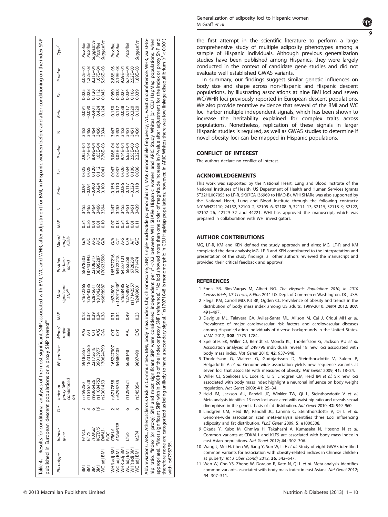<span id="page-9-0"></span>

|                                                                                                                                            |                                                                                                                       |        | Table 4. Results for conditional analyses of the most significant SNP associated with BMI, WC and WHR, after adjustment for BMI, in Hispanic women before and after conditioning on the index SNP<br>published in European descent populations or a proxy SNP thereof                                                                                                                                                                                                                                                                                                                                                                                                                                                    |                                                                                                       |                                                |                                                                      |                                                                                                                                                    |                                                                                                                               |                                        |                                                                                        |                                                                                                |                                                                                                          |                                                                                                 |                                                                                                                                                              |                                                                                      |                                                                                                                |                                                                                                |                                                                                                                                        |                                                                                                                |
|--------------------------------------------------------------------------------------------------------------------------------------------|-----------------------------------------------------------------------------------------------------------------------|--------|--------------------------------------------------------------------------------------------------------------------------------------------------------------------------------------------------------------------------------------------------------------------------------------------------------------------------------------------------------------------------------------------------------------------------------------------------------------------------------------------------------------------------------------------------------------------------------------------------------------------------------------------------------------------------------------------------------------------------|-------------------------------------------------------------------------------------------------------|------------------------------------------------|----------------------------------------------------------------------|----------------------------------------------------------------------------------------------------------------------------------------------------|-------------------------------------------------------------------------------------------------------------------------------|----------------------------------------|----------------------------------------------------------------------------------------|------------------------------------------------------------------------------------------------|----------------------------------------------------------------------------------------------------------|-------------------------------------------------------------------------------------------------|--------------------------------------------------------------------------------------------------------------------------------------------------------------|--------------------------------------------------------------------------------------|----------------------------------------------------------------------------------------------------------------|------------------------------------------------------------------------------------------------|----------------------------------------------------------------------------------------------------------------------------------------|----------------------------------------------------------------------------------------------------------------|
| Phenotype                                                                                                                                  | In/near<br>gene                                                                                                       |        | proxy SNP<br>conditioned<br>Chr Index or                                                                                                                                                                                                                                                                                                                                                                                                                                                                                                                                                                                                                                                                                 | BP position                                                                                           | major<br>allele<br>Minor/                      | MAF                                                                  | significant<br>SNP <sup>b</sup><br>Most                                                                                                            | (in base<br>Position<br>pairs)                                                                                                | Minor/<br>major<br>Allele              | MAF                                                                                    | z                                                                                              | Beta                                                                                                     | Š.e.                                                                                            | P-value                                                                                                                                                      |                                                                                      | Beta                                                                                                           | Š.e.                                                                                           | P-value                                                                                                                                | Type <sup>c</sup>                                                                                              |
| WHR adj BMI<br>WHR adj BMI<br>WHR adj BMI<br>WC adj BMI<br>WC adj BMI<br>WC adj BMI<br>WC adj BMI<br><b>IMB</b><br><b>IMB</b><br>BMI<br>BM | ADAMTS9<br>KCTD15<br>DNM3-<br>TFAP <sub>2</sub> B<br>GRB14<br>FANCL<br><b>MSRA</b><br>30 <sup>2</sup><br>LY86<br>DIOL | ∞<br>⊙ | rs11084753<br>rs1516728<br>rs9366426<br>rs2301453<br>rs6717858<br>rs6795735<br>rs1294421<br>rs759250<br>rs545854                                                                                                                                                                                                                                                                                                                                                                                                                                                                                                                                                                                                         | 65247907<br>87312585<br>70624790<br>2172618<br>64680405<br>59182657<br>89013977<br>6688148<br>0677490 | U<br>U<br>A/G<br>$\frac{1}{5}$<br>5<br>λC<br>5 | 0.49<br>0.23<br>0.18<br>0.34<br>0.37<br>0.39<br>0.34<br>0.38<br>0.31 | $17071048^{\circ}$<br>517142557<br>rs4672266<br>rs4688486<br>rs7648336<br>rs2768997<br>rs6698987<br>rs6748091<br>s8104262<br>rs2409601<br>rs287661 | 65327216<br>70635590<br>87431942<br>58978503<br>64522218<br>22108317<br>38895287<br>64557121<br>6862258<br>6728239<br>9771474 | $\mathcal{S}$<br>१११<br>$\Im$<br>22229 | $0.13$<br>$0.14$<br>0.34<br>0.26<br>0.10<br>0.07<br>$\overline{0}$ .11<br>0.01<br>0.01 | \$465<br>3394<br>\$452<br>\$452<br>3439<br>3452<br>8464<br>3466<br>8447<br><b>1451</b><br>1451 | 0.118<br>$-0.156$<br>0.109<br>0.424<br>0.086<br>0.117<br>0.320<br>0.110<br>$-0.400$<br>0.091<br>$-0.091$ | 0.025<br>0.038<br>0.047<br>0.028<br>0.034<br>0.112<br>0.041<br>0.037<br>0.026<br>0.106<br>0.12C | $22E - 03$<br>$2.92E - 04$<br>$.14E - 03$<br>3.49E-04<br>$-65E - 04$<br>$9.06E - 04$<br>$9.14E - 04$<br>6.63E-04<br>$2.55E - 03$<br>7.76E-03<br>$0.05E - 03$ | 3439<br>3394<br>8465<br>3464<br>3466<br>3453<br>3452<br>3452<br>3447<br>3451<br>3451 | $-0.150$<br>0.120<br>0.124<br>0.320<br>0.424<br>0.088<br>0.117<br>0.091<br>0.090<br>$-0.401$<br>$\frac{11}{2}$ | 0.025<br>0.045<br>0.050<br>0.039<br>0.28<br>0.112<br>0.038<br>0.034<br>0.106<br>0.120<br>0.027 | $3.02E - 04$<br>5.96E-03<br>2.88E-03<br>$6.75E - 04$<br>89E-03<br>$.22E-03$<br>.67E-04<br>2.19E-03<br>2.52E-03<br>$31E - 04$<br>59E-04 | Suggestive<br>Suggestive<br>Suggestive<br>Possible<br>Possible<br>Possible<br>Possible<br>Possible<br>Possible |
| with rs6795735                                                                                                                             |                                                                                                                       |        | therefore none are categorized as being unlikely to have a secondary signal. "rs17071048 is monomorphic in CEU HapMap populations; however, in ARIC Whites there was low linkage disequilibrium (r <sup>2</sup> < 0.001)<br>Abbreviations: ARIC, Atherosclerosis Risk in Communities; BMI, body mass index; Chr, chromosome; SNP, single-nucleotide polymorphisms; MAF, minor allele frequency; WC, waist circumference; WHR, waist-to<br>hip ratio. "Index (or proxy) SNP and most significant SNP were considered independent per r<0.2 between WHI SHARe Hispanic women and ARIC Study Whites (or CEU HapMap populations, when<br>appropriate). <sup>D</sup> Most significant SNP within 500 kb of the index or proxy |                                                                                                       |                                                |                                                                      | SNP (reference). 'No loci showed more than one order of magnitude increase in P-value after adjustment for the index or proxy SNP and              |                                                                                                                               |                                        |                                                                                        |                                                                                                |                                                                                                          |                                                                                                 |                                                                                                                                                              |                                                                                      |                                                                                                                |                                                                                                |                                                                                                                                        |                                                                                                                |

the first attempt in the scientific literature to perform a large comprehensive study of multiple adiposity phenotypes among a sample of Hispanic individuals. Although previous generalization studies have been published among Hispanics, they were largely conducted in the context of candidate gene studies and did not evaluate well established GWAS variants.

In summary, our findings suggest similar genetic influences on body size and shape across non-Hispanic and Hispanic descent populations, by illustrating associations at nine BMI loci and seven WC/WHR loci previously reported in European descent populations. We also provide tentative evidence that several of the BMI and WC loci harbor multiple independent signals, which has been shown to increase the heritability explained for complex traits across populations. Nonetheless, replication of these signals in larger Hispanic studies is required, as well as GWAS studies to determine if novel obesity loci can be mapped in Hispanic populations.

### CONFLICT OF INTEREST

The authors declare no conflict of interest.

## ACKNOWLEDGEMENTS

This work was supported by the National Heart, Lung and Blood Institute of the National Institutes of Health, US Department of Health and Human Services (grants 5T32HL007055 to LF-R, 5K07CA136969 to HMO-B). WHI SHARe was also supported by the National Heart, Lung and Blood Institute through the following contracts: N01WH22110, 24152, 32100–2, 32105–6, 32108–9, 32111–13, 32115, 32118–9, 32122, 42107–26, 42129–32 and 44221. WHI has approved the manuscript, which was prepared in collaboration with WHI investigators.

### AUTHOR CONTRIBUTIONS

MG, LF-R, KM and KEN defined the study approach and aims; MG, LF-R and KM completed the data analysis; MG, LF-R and KEN contributed to the interpretation and presentation of the study findings; all other authors reviewed the manuscript and provided their critical feedback and approval.

### **REFERENCES**

- 1 Ennis SR, Rı´os-Vargas M, Albert NG. The Hispanic Population: 2010, in 2010 Census Briefs, US Census, Editor, 2011 US Dept. of Commerce: Washington, DC, USA.
- 2 Flegal KM, Carroll MD, Kit BK, Ogden CL. Prevalence of obesity and trends in the distribution of body mass index among US adults, 1999-2010. JAMA 2012; 307: 491–497.
- 3 Daviglus ML, Talavera GA, Aviles-Santa ML, Allison M, Cai J, Criqui MH et al. Prevalence of major cardiovascular risk factors and cardiovascular diseases among Hispanic/Latino individuals of diverse backgrounds in the United States. JAMA 2012; 308: 1775–1784.
- 4 Speliotes EK, Willer CJ, Berndt SI, Monda KL, Thorleifsson G, Jackson AU et al. Association analyses of 249 796 individuals reveal 18 new loci associated with body mass index. Nat Genet 2010; 42: 937–948.
- 5 Thorleifsson G, Walters G, Gudbjartsson D, Steinthorsdottir V, Sulem P, Helgadottir A et al. Genome-wide association yields new sequence variants at seven loci that associate with measures of obesity. Nat Genet 2009; 41: 18–24.
- 6 Willer CJ, Speliotes EK, Loos RJ, Li S, Lindgren CM, Heid IM et al. Six new loci associated with body mass index highlight a neuronal influence on body weight regulation. Nat Genet 2009; 41: 25–34.
- 7 Heid IM, Jackson AU, Randall JC, Winkler TW, Qi L, Steinthorsdottir V et al. Meta-analysis identifies 13 new loci associated with waist-hip ratio and reveals sexual dimorphism in the genetic basis of fat distribution. Nat Genet 2010; 42: 949–960.
- 8 Lindgren CM, Heid IM, Randall JC, Lamina C, Steinthorsdottir V, Qi L et al. Genome-wide association scan meta-analysis identifies three Loci influencing adiposity and fat distribution. PLoS Genet 2009; 5: e1000508.
- 9 Okada Y, Kubo M, Ohmiya H, Takahashi A, Kumasaka N, Hosono N et al. Common variants at CDKAL1 and KLF9 are associated with body mass index in east Asian populations. Nat Genet 2012; 44: 302–306.
- 10 Wang J, Mei H, Chen W, Jiang Y, Sun W, Li F et al. Study of eight GWAS-identified common variants for association with obesity-related indices in Chinese children at puberty. Int J Obes (Lond) 2012; 36: 542–547.
- 11 Wen W, Cho YS, Zheng W, Dorajoo R, Kato N, Qi L et al. Meta-analysis identifies common variants associated with body mass index in east Asians. Nat Genet 2012; 44: 307–311.